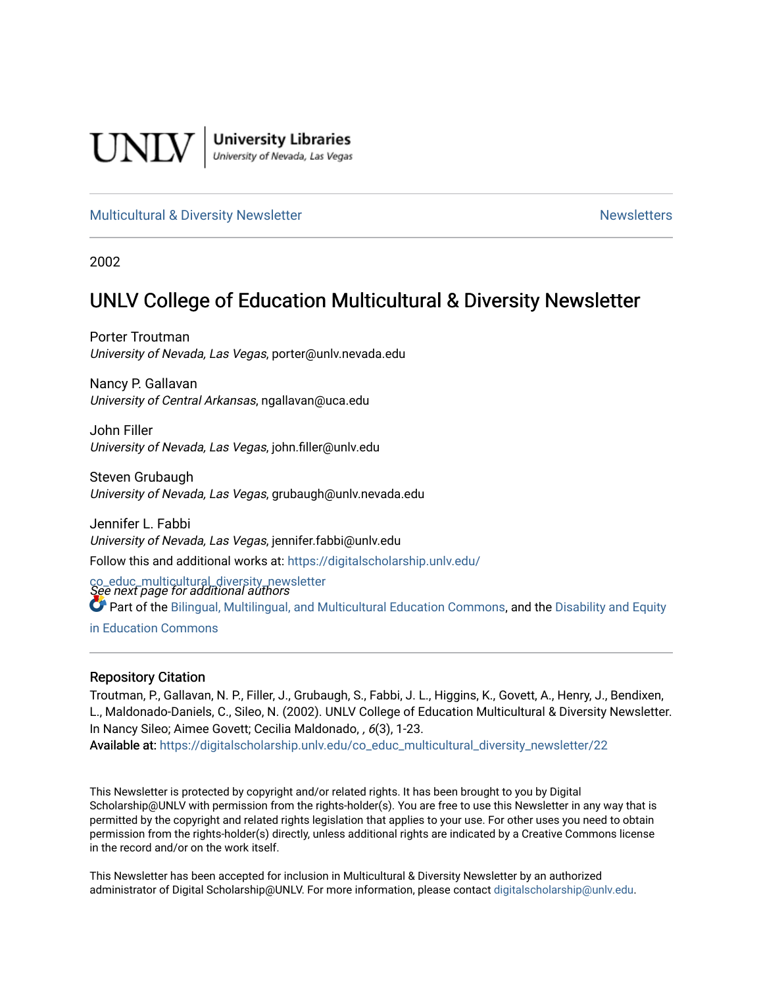

**University Libraries**<br>University of Nevada, Las Vegas

#### [Multicultural & Diversity Newsletter](https://digitalscholarship.unlv.edu/co_educ_multicultural_diversity_newsletter) Newsletter [Newsletters](https://digitalscholarship.unlv.edu/co_educ_newsletters) Newsletters

2002

## UNLV College of Education Multicultural & Diversity Newsletter

Porter Troutman University of Nevada, Las Vegas, porter@unlv.nevada.edu

Nancy P. Gallavan University of Central Arkansas, ngallavan@uca.edu

John Filler University of Nevada, Las Vegas, john.filler@unlv.edu

Steven Grubaugh University of Nevada, Las Vegas, grubaugh@unlv.nevada.edu

Jennifer L. Fabbi University of Nevada, Las Vegas, jennifer.fabbi@unlv.edu Follow this and additional works at: [https://digitalscholarship.unlv.edu/](https://digitalscholarship.unlv.edu/co_educ_multicultural_diversity_newsletter?utm_source=digitalscholarship.unlv.edu%2Fco_educ_multicultural_diversity_newsletter%2F22&utm_medium=PDF&utm_campaign=PDFCoverPages)

co\_educ\_multicultural\_diversity\_newsletter<br>See next page for additional authors Part of the [Bilingual, Multilingual, and Multicultural Education Commons,](http://network.bepress.com/hgg/discipline/785?utm_source=digitalscholarship.unlv.edu%2Fco_educ_multicultural_diversity_newsletter%2F22&utm_medium=PDF&utm_campaign=PDFCoverPages) and the [Disability and Equity](http://network.bepress.com/hgg/discipline/1040?utm_source=digitalscholarship.unlv.edu%2Fco_educ_multicultural_diversity_newsletter%2F22&utm_medium=PDF&utm_campaign=PDFCoverPages)  [in Education Commons](http://network.bepress.com/hgg/discipline/1040?utm_source=digitalscholarship.unlv.edu%2Fco_educ_multicultural_diversity_newsletter%2F22&utm_medium=PDF&utm_campaign=PDFCoverPages)

#### Repository Citation

Troutman, P., Gallavan, N. P., Filler, J., Grubaugh, S., Fabbi, J. L., Higgins, K., Govett, A., Henry, J., Bendixen, L., Maldonado-Daniels, C., Sileo, N. (2002). UNLV College of Education Multicultural & Diversity Newsletter. In Nancy Sileo; Aimee Govett; Cecilia Maldonado, , 6(3), 1-23. Available at: [https://digitalscholarship.unlv.edu/co\\_educ\\_multicultural\\_diversity\\_newsletter/22](https://digitalscholarship.unlv.edu/co_educ_multicultural_diversity_newsletter/22) 

This Newsletter is protected by copyright and/or related rights. It has been brought to you by Digital Scholarship@UNLV with permission from the rights-holder(s). You are free to use this Newsletter in any way that is permitted by the copyright and related rights legislation that applies to your use. For other uses you need to obtain permission from the rights-holder(s) directly, unless additional rights are indicated by a Creative Commons license in the record and/or on the work itself.

This Newsletter has been accepted for inclusion in Multicultural & Diversity Newsletter by an authorized administrator of Digital Scholarship@UNLV. For more information, please contact [digitalscholarship@unlv.edu.](mailto:digitalscholarship@unlv.edu)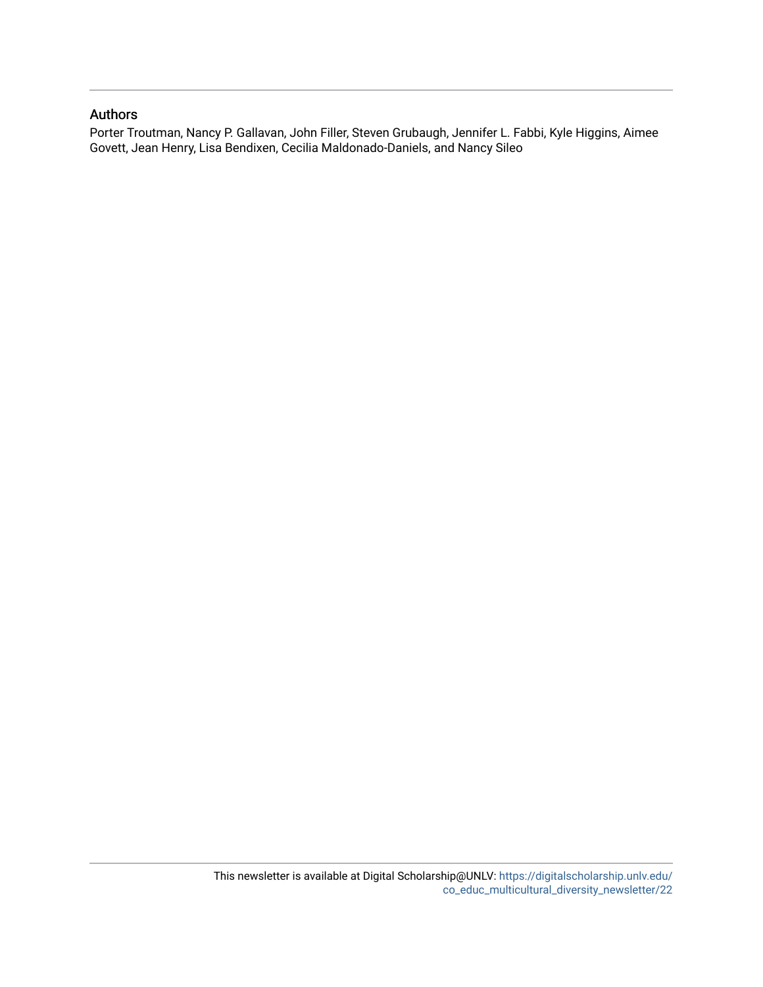#### Authors

Porter Troutman, Nancy P. Gallavan, John Filler, Steven Grubaugh, Jennifer L. Fabbi, Kyle Higgins, Aimee Govett, Jean Henry, Lisa Bendixen, Cecilia Maldonado-Daniels, and Nancy Sileo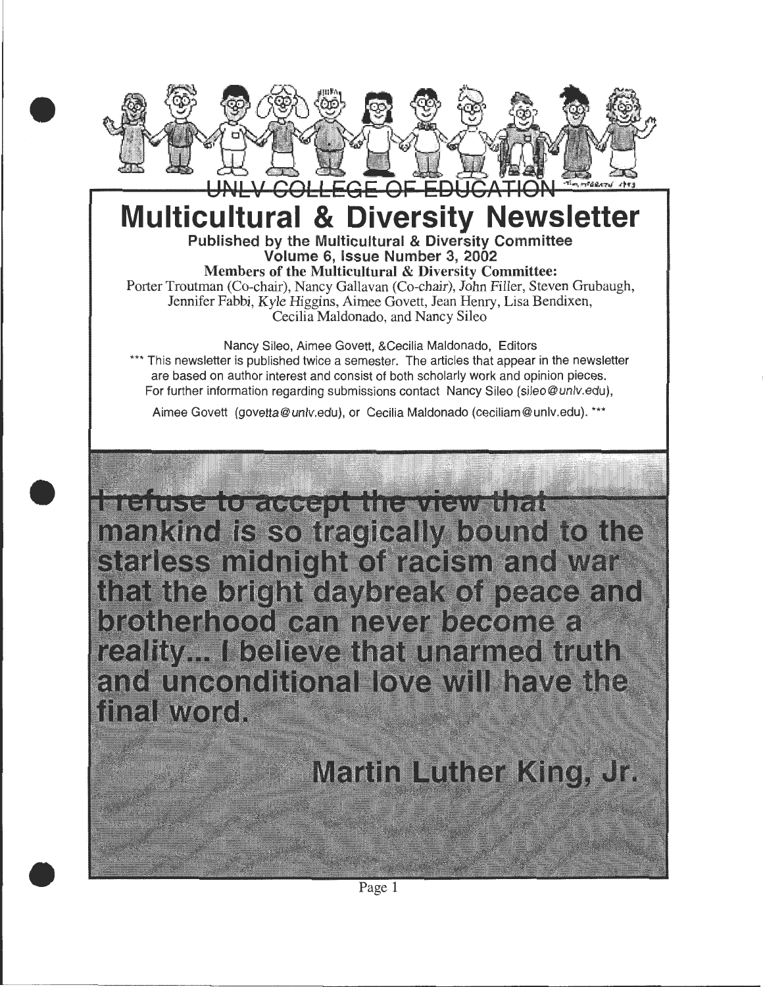

# **Multicultural & Diversity Newsletter**  Published by the Multicultural & Diversity Committee

Volume 6, Issue Number 3, 2002

Members of the Multicultural & Diversity Committee: Porter Troutman (Co-chair), Nancy Gallavan (Co-chair), John Filler, Steven Grubaugh, Jennifer Fabbi, Kyle Higgins, Aimee Govett, Jean Henry, Lisa Bendixen, Cecilia Maldonado, and Nancy Sileo

Nancy Sileo, Aimee Govett, &Cecilia Maldonado, Editors \*\*\* This newsletter is published twice a semester. The articles that appear in the newsletter are based on author interest and consist of both scholarly work and opinion pieces. For further information regarding submissions contact Nancy Sileo (sileo@unlv.edu),

Aimee Govett (govetta@ unlv.edu), or Cecilia Maldonado (ceciliam@ unlv.edu). \*\*\*

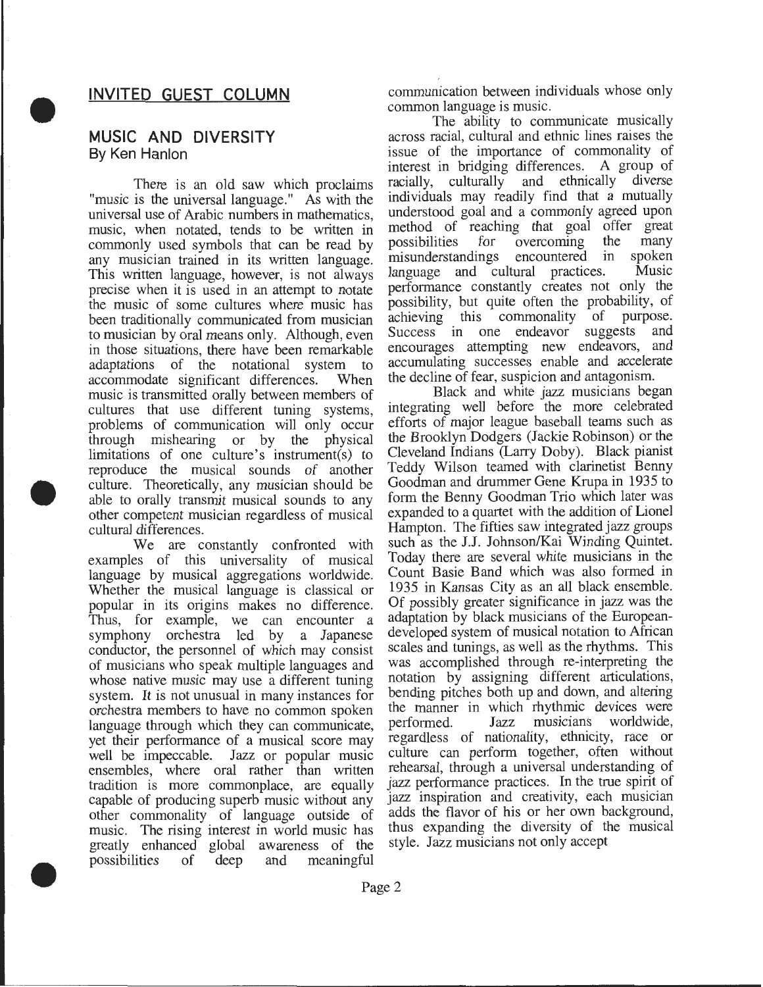#### **INVITED GUEST COLUMN**

#### **MUSIC AND DIVERSITY**  By Ken Hanlon

•

•

•

There is an old saw which proclaims "music is the universal language." As with the universal use of Arabic numbers in mathematics, music, when notated, tends to be written in commonly used symbols that can be read by any musician trained in its written language. This written language, however, is not always precise when it is used in an attempt to notate the music of some cultures where music has been traditionally communicated from musician to musician by oral means only. Although, even in those situations, there have been remarkable adaptations of the notational system to accommodate significant differences. When music is transmitted orally between members of cultures that use different tuning systems, problems of communication will only occur through mishearing or by the physical limitations of one culture's instrument(s) to reproduce the musical sounds of another culture. Theoretically, any musician should be able to orally transmit musical sounds to any other competent musician regardless of musical cultural differences.

We are constantly confronted with examples of this universality of musical language by musical aggregations worldwide. Whether the musical language is classical or popular in its origins makes no difference. Thus, for example, we can encounter a symphony orchestra led by a Japanese conductor, the personnel of which may consist of musicians who speak multiple languages and whose native music may use a different tuning system. It is not unusual in many instances for orchestra members to have no common spoken language through which they can communicate, yet their performance of a musical score may well be impeccable. Jazz or popular music ensembles, where oral rather than written tradition is more commonplace, are equally capable of producing superb music without any other commonality of language outside of music. The rising interest in world music has greatly enhanced global awareness of the possibilities of deep and meaningful

communication between individuals whose only common language is music.

The ability to communicate musically across racial, cultural and ethnic lines raises the issue of the importance of commonality of interest in bridging differences. A group of racially, culturally and ethnically diverse individuals may readily find that a mutually understood goal and a commonly agreed upon method of reaching that goal offer great<br>possibilities for overcoming the many possibilities for overcoming the many misunderstandings encountered in spoken<br>language and cultural practices. Music language and cultural practices. performance constantly creates not only the possibility, but quite often the probability, of achieving this commonality of purpose. Success in one endeavor suggests and encourages attempting new endeavors, and accumulating successes enable and accelerate the decline of fear, suspicion and antagonism.

Black and white jazz musicians began integrating well before the more celebrated efforts of major league baseball teams such as the Brooklyn Dodgers (Jackie Robinson) or the Cleveland Indians (Larry Doby). Black pianist Teddy Wilson teamed with clarinetist Benny Goodman and drummer Gene Krupa in 1935 to form the Benny Goodman Trio which later was expanded to a quartet with the addition of Lionel Hampton. The fifties saw integrated jazz groups such as the J.J. Johnson/Kai Winding Quintet. Today there are several white musicians in the Count Basie Band which was also formed in 1935 in Kansas City as an all black ensemble. Of possibly greater significance in jazz was the adaptation by black musicians of the Europeandeveloped system of musical notation to African scales and tunings, as well as the rhythms. This was accomplished through re-interpreting the notation by assigning different articulations, bending pitches both up and down, and altering the manner in which rhythmic devices were<br>performed. Jazz musicians worldwide, performed. Jazz musicians worldwide, regardless of nationality, ethnicity, race or culture can perform together, often without rehearsal, through a universal understanding of jazz performance practices. In the true spirit of jazz inspiration and creativity, each musician adds the flavor of his or her own background, thus expanding the diversity of the musical style. Jazz musicians not only accept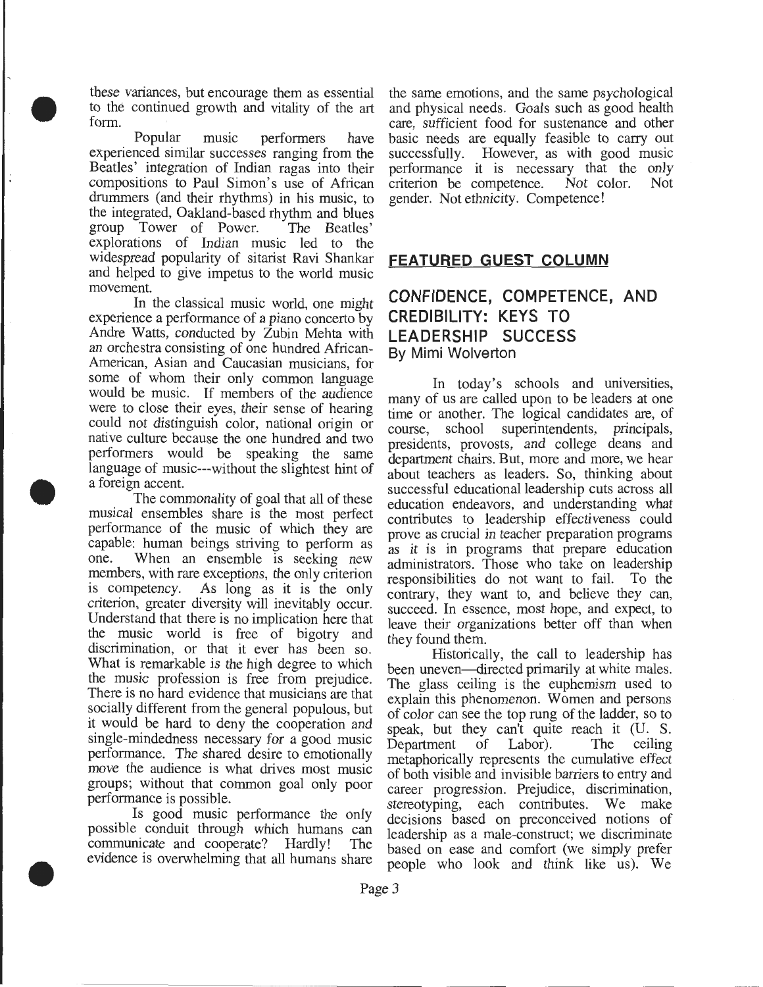these variances, but encourage them as essential to the continued growth and vitality of the art form.

• Popular music performers have experienced similar successes ranging from the Beatles' integration of Indian ragas into their compositions to Paul Simon's use of African drummers (and their rhythms) in his music, to the integrated, Oakland-based rhythm and blues group Tower of Power. The Beatles' explorations of Indian music led to the widespread popularity of sitarist Ravi Shankar **FEATURED GUEST COLUMN**  and helped to give impetus to the world music movement.

In the classical music world, one might experience a performance of a piano concerto by Andre Watts, conducted by Zubin Mehta with an orchestra consisting of one hundred African-American, Asian and Caucasian musicians, for some of whom their only common language  $\frac{1}{2}$  In today's schools and universities, would be music. If members of the audience many of us are called upon to be leaders at one would be music. If members of the audience many of us are called upon to be leaders at one were to close their eyes, their sense of hearing time or another. The logical candidates are of could not distinguish color, national origin or<br>neglective, school superintendents, principals,<br>native culture because the one hundred and two<br>neglections provests and college deans and native culture because the one hundred and two presidents, provosts, and college deans and performers would be speaking the same department chairs But more and more we hear performers would be speaking the same department chairs. But, more and more, we hear<br>language of music---without the slightest hint of about teachers as leaders. So, thinking about language of music---without the slightest hint of about teachers as leaders. So, thinking about a foreign accent.

•

•

The commonality of goal that all of these education endeavors, and understanding what musical ensembles share is the most perfect contributes to leadership effectiveness could musical ensembles share is the most perfect contributes to leadership effectiveness could<br>performance of the music of which they are prove as crucial in teacher preparation programs performance of the music of which they are prove as crucial in teacher preparation programs capable: human beings striving to perform as as it is in programs that prepare education capable: human beings striving to perform as as it is in programs that prepare education one. When an ensemble is seeking new administrators. Those who take on leadership one. When an ensemble is seeking new administrators. Those who take on leadership members, with rare exceptions, the only criterion responsibilities do not want to fail. To the members, with rare exceptions, the only criterion responsibilities do not want to fail. To the is competency. As long as it is the only contrary they want to and believe they can is competency. As long as it is the only contrary, they want to, and believe they can, criterion, greater diversity will inevitably occur. succeed In essence most hope and expect to criterion, greater diversity will inevitably occur. succeed. In essence, most hope, and expect, to Understand that there is no implication here that leave their organizations better off than when the music world is free of bigotry and they found them.<br>discrimination, or that it ever has been so. discrimination, or that it ever has been so. Historically, the call to leadership has What is remarkable is the high degree to which been uneven directed primarily at white males What is remarkable is the high degree to which been uneven—directed primarily at white males.<br>the music profession is free from prejudice. The glass calling is the euphemism used to the music profession is free from prejudice. The glass ceiling is the euphemism used to<br>There is no hard evidence that musicians are that<br>explain this phenomenon. Women and persons There is no hard evidence that musicians are that explain this phenomenon. Women and persons socially different from the general populous, but of color can see the top rung of the ladder so to socially different from the general populous, but of color can see the top rung of the ladder, so to it would be hard to deny the cooperation and speak but they can't quite reach it (II) S single-mindedness necessary for a good music<br>performance. The shared desire to emotionally metaphorically represents the cumulative effect performance. The shared desire to emotionally metaphorically represents the cumulative effect<br>move the audience is what drives most music of both visible and invisible barriers to entry and move the audience is what drives most music of both visible and invisible barriers to entry and groups; without that common goal only poor career progression. Prejudice discrimination groups, without that common goal only poor career progression. Prejudice, discrimination, performance is possible.

Is good music performance the only decisions based on preconceived notions of possible conduit through which humans can leadership as a male construct; we discriminate possible conduit through which humans can leadership as a male-construct; we discriminate<br>communicate and cooperate? Hardly! The based on ease and comfort (we simply prefer communicate and cooperate? Hardly! The based on ease and comfort (we simply prefer<br>evidence is overwhelming that all humans share people who look and think like us). We

the same emotions, and the same psychological and physical needs. Goals such as good health care, sufficient food for sustenance and other basic needs are equally feasible to carry out successfully. However, as with good music performance it is necessary that the only criterion be competence. Not color. Not criterion be competence. Not color. Not gender. Not ethnicity. Competence!

### **CONFIDENCE, COMPETENCE, AND CREDIBILITY: KEYS TO LEADERSHIP SUCCESS**  By Mimi Wolverton

time or another. The logical candidates are, of n accent.<br>The commonality of goal that all of these education endeavors, and understanding what leave their organizations better off than when

speak, but they can't quite reach it (U. S. result is possible.<br>Is good music performance the only decisions based on preconceived notions of people who look and think like us). We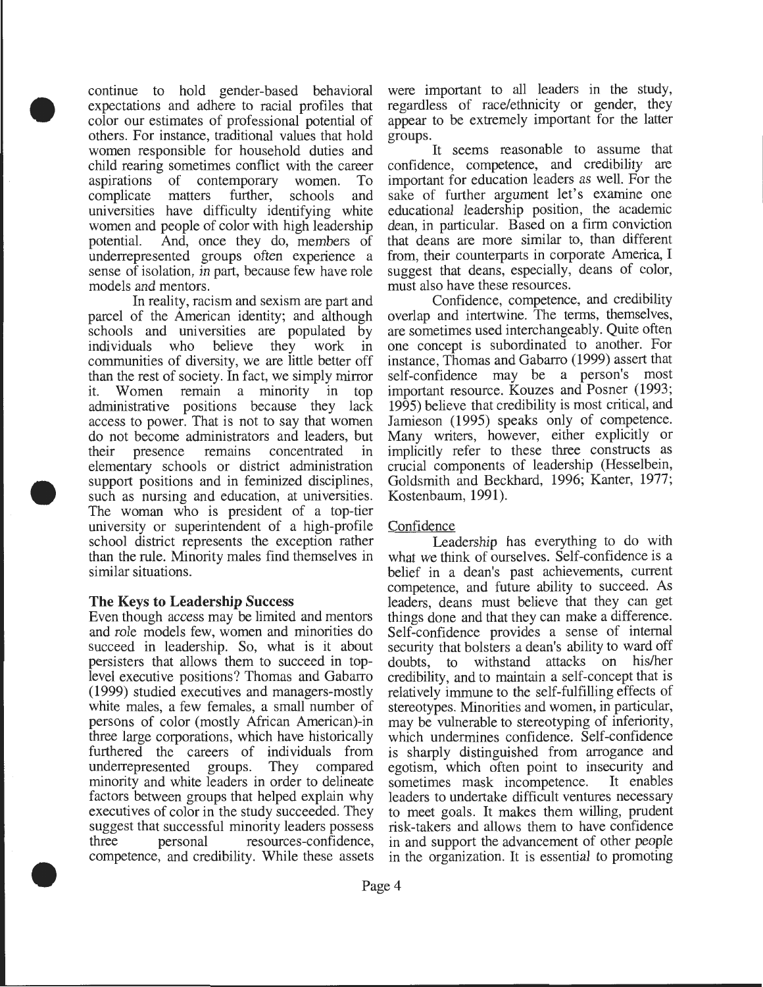continue to hold gender-based behavioral expectations and adhere to racial profiles that color our estimates of professional potential of others. For instance, traditional values that hold women responsible for household duties and child rearing sometimes conflict with the career aspirations of contemporary women. To complicate matters further, schools and universities have difficulty identifying white women and people of color with high leadership potential. And, once they do, members of underrepresented groups often experience a sense of isolation, in part, because few have role models and mentors.

•

•

•

In reality, racism and sexism are part and parcel of the American identity; and although schools and universities are populated by individuals who believe they work in communities of diversity, we are little better off than the rest of society. In fact, we simply mirror it. Women remain a minority in top administrative positions because they lack access to power. That is not to say that women do not become administrators and leaders, but their presence remains concentrated in elementary schools or district administration support positions and in feminized disciplines, such as nursing and education, at universities. The woman who is president of a top-tier university or superintendent of a high-profile school district represents the exception rather than the rule. Minority males find themselves in similar situations.

#### **The** Keys **to Leadership** Success

Even though access may be limited and mentors and role models few, women and minorities do succeed in leadership. So, what is it about persisters that allows them to succeed in toplevel executive positions? Thomas and Gabarro (1999) studied executives and managers-mostly white males, a few females, a small number of persons of color (mostly African American)-in three large corporations, which have historically furthered the careers of individuals from underrepresented groups. They compared minority and white leaders in order to delineate factors between groups that helped explain why executives of color in the study succeeded. They suggest that successful minority leaders possess three personal resources-confidence, competence, and credibility. While these assets

were important to all leaders in the study, regardless of race/ethnicity or gender, they appear to be extremely important for the latter groups.

It seems reasonable to assume that confidence, competence, and credibility are important for education leaders as well. For the sake of further argument let's examine one educational leadership position, the academic dean, in particular. Based on a firm conviction that deans are more similar to, than different from, their counterparts in corporate America, I suggest that deans, especially, deans of color, must also have these resources.

Confidence, competence, and credibility overlap and intertwine. The terms, themselves, are sometimes used interchangeably. Quite often one concept is subordinated to another. For instance, Thomas and Gabarro (1999) assert that self-confidence may be a person's most important resource. Kouzes and Posner (1993; 1995) believe that credibility is most critical, and Jamieson (1995) speaks only of competence. Many writers, however, either explicitly or implicitly refer to these three constructs as crucial components of leadership (Hesselbein, Goldsmith and Beckhard, 1996; Kanter, 1977; Kostenbaum, 1991).

#### Confidence

Leadership has everything to do with what we think of ourselves. Self-confidence is a belief in a dean's past achievements, current competence, and future ability to succeed. As leaders, deans must believe that they can get things done and that they can make a difference. Self-confidence provides a sense of internal security that bolsters a dean's ability to ward off doubts, to withstand attacks on his/her credibility, and to maintain a self-concept that is relatively immune to the self-fulfilling effects of stereotypes. Minorities and women, in particular, may be vulnerable to stereotyping of inferiority, which undermines confidence. Self-confidence is sharply distinguished from arrogance and egotism, which often point to insecurity and sometimes mask incompetence. It enables sometimes mask incompetence. leaders to undertake difficult ventures necessary to meet goals. It makes them willing, prudent risk-takers and allows them to have confidence in and support the advancement of other people in the organization. It is essential to promoting

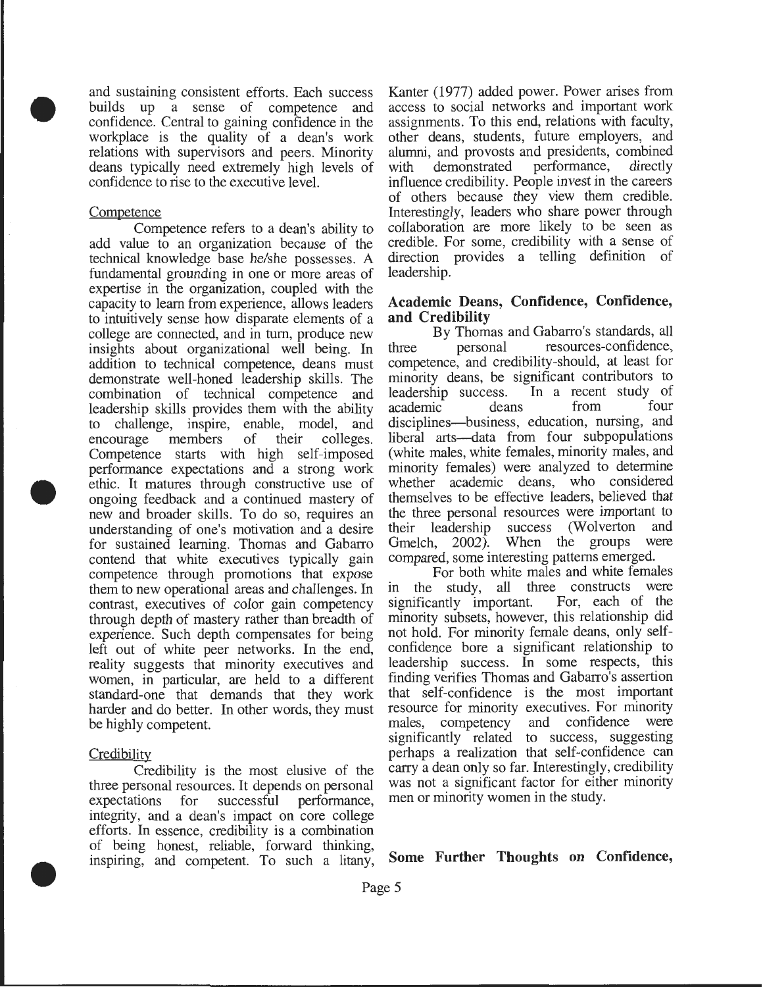and sustaining consistent efforts. Each success builds up a sense of competence and confidence. Central to gaining confidence in the workplace is the quality of a dean's work relations with supervisors and peers. Minority deans typically need extremely high levels of confidence to rise to the executive level.

#### **Competence**

•

•

•

Competence refers to a dean's ability to add value to an organization because of the technical knowledge base he/she possesses. A fundamental grounding in one or more areas of expertise in the organization, coupled with the capacity to learn from experience, allows leaders to intuitively sense how disparate elements of a college are connected, and in turn, produce new insights about organizational well being. In addition to technical competence, deans must demonstrate well-honed leadership skills. The combination of technical competence and leadership skills provides them with the ability to challenge, inspire, enable, model, and encourage members of their colleges. Competence starts with high self-imposed performance expectations and a strong work ethic. It matures through constructive use of ongoing feedback and a continued mastery of new and broader skills. To do so, requires an understanding of one's motivation and a desire for sustained learning. Thomas and Gabarro contend that white executives typically gain competence through promotions that expose them to new operational areas and challenges. In contrast, executives of color gain competency through depth of mastery rather than breadth of experience. Such depth compensates for being left out of white peer networks. In the end, reality suggests that minority executives and women, in particular, are held to a different standard-one that demands that they work harder and do better. In other words, they must be highly competent.

#### **Credibility**

Credibility is the most elusive of the three personal resources. It depends on personal expectations for successful performance, integrity, and a dean's impact on core college efforts. In essence, credibility is a combination of being honest, reliable, forward thinking, inspiring, and competent. To such a litany,

Kanter (1977) added power. Power arises from access to social networks and important work assignments. To this end, relations with faculty, other deans, students, future employers, and alumni, and provosts and presidents, combined with demonstrated influence credibility. People invest in the careers of others because they view them credible. Interestingly, leaders who share power through collaboration are more likely to be seen as credible. For some, credibility with a sense of direction provides a telling definition of leadership.

#### **Academic Deans, Confidence, Confidence, and Credibility**

By Thomas and Gabarro's standards, all three personal resources-confidence, competence, and credibility-should, at least for minority deans, be significant contributors to leadership success. In a recent study of academic deans disciplines-business, education, nursing, and liberal arts--data from four subpopulations (white males, white females, minority males, and minority females) were analyzed to determine whether academic deans, who considered themselves to be effective leaders, believed that the three personal resources were important to their leadership success (Wolverton and Gmelch, 2002). When the groups were compared, some interesting patterns emerged.

For both white males and white females in the study, all three constructs were<br>significantly important. For, each of the significantly important. minority subsets, however, this relationship did not hold. For minority female deans, only selfconfidence bore a significant relationship to leadership success. In some respects, this finding verifies Thomas and Gabarro's assertion that self-confidence is the most important resource for minority executives. For minority males, competency and confidence were significantly related to success, suggesting perhaps a realization that self-confidence can carry a dean only so far. Interestingly, credibility was not a significant factor for either minority men or minority women in the study.

**Some Further Thoughts on Confidence,**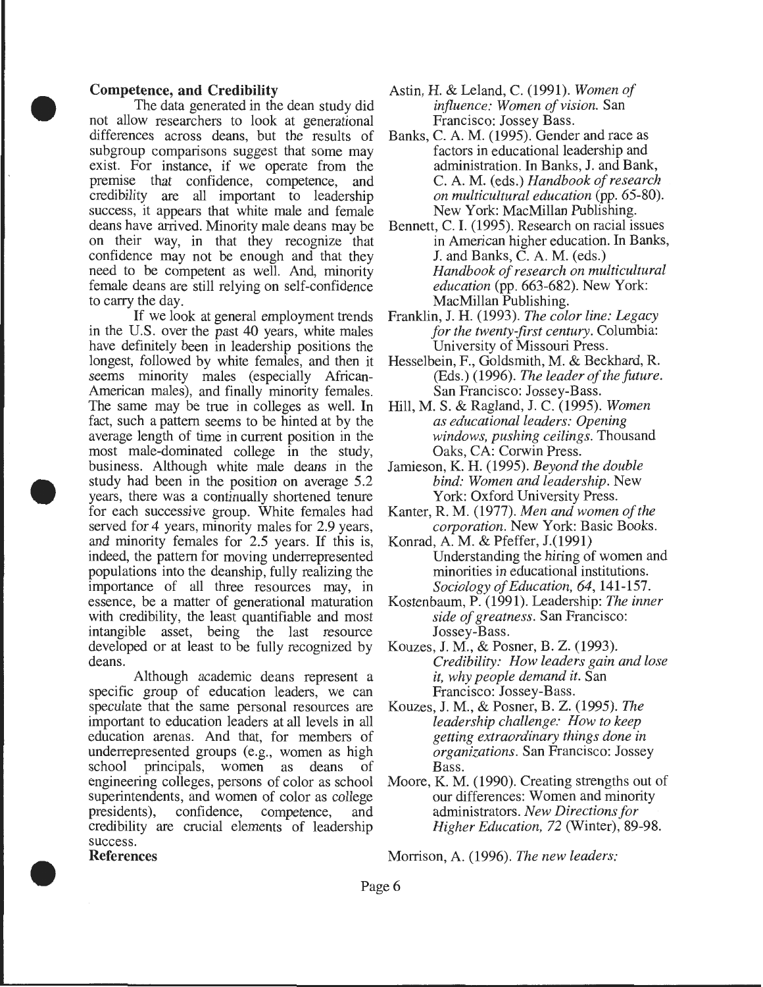#### **Competence, and Credibility**

•

•

•

The data generated in the dean study did not allow researchers to look at generational differences across deans, but the results of subgroup comparisons suggest that some may exist. For instance, if we operate from the premise that confidence, competence, and credibility are all important to leadership success, it appears that white male and female deans have arrived. Minority male deans may be on their way, in that they recognize that confidence may not be enough and that they need to be competent as well. And, minority female deans are still relying on self-confidence to carry the day.

If we look at general employment trends in the U.S. over the past 40 years, white males have definitely been in leadership positions the longest, followed by white females, and then it seems minority males (especially African-American males), and finally minority females. The same may be true in colleges as well. In fact, such a pattern seems to be hinted at by the average length of time in current position in the most male-dominated college in the study, business. Although white male deans in the study had been in the position on average 5.2 years, there was a continually shortened tenure for each successive group. White females had served for 4 years, minority males for 2.9 years, and minority females for 2.5 years. If this is, indeed, the pattern for moving underrepresented populations into the deanship, fully realizing the importance of all three resources may, in essence, be a matter of generational maturation with credibility, the least quantifiable and most intangible asset, being the last resource developed or at least to be fully recognized by deans.

Although academic deans represent a specific group of education leaders, we can speculate that the same personal resources are important to education leaders at all levels in all education arenas. And that, for members of underrepresented groups (e.g., women as high school principals, women as deans of engineering colleges, persons of color as school superintendents, and women of color as college presidents), confidence, competence, and credibility are crucial elements of leadership success. **References** 

- Astin, H. & Leland, C. (1991). *Women of influence: Women of vision.* San Francisco: Jossey Bass.
- Banks, C. A.M. (1995). Gender and race as factors in educational leadership and administration. In Banks, J. and Bank, C. A.M. (eds.) *Handbook of research on multicultural education* (pp. 65-80). New York: MacMillan Publishing.
- Bennett, C. I. (1995). Research on racial issues in American higher education. In Banks, J. and Banks, C. A.M. (eds.) *Handbook of research on multicultural education* (pp. 663-682). New York: MacMillan Publishing.
- Franklin, J. H. (1993). *The color line: Legacy for the twenty-first century.* Columbia: University of Missouri Press.
- Hesselbein, F., Goldsmith, M. & Beckhard, R. (Eds.) (1996). *The leader of the future.*  San Francisco: Jossey-Bass.
- Hill, M. S. & Ragland, **J.** C. (1995). *Women as educational leaders: Opening windows, pushing ceilings.* Thousand Oaks, CA: Corwin Press.
- Jamieson, K. H. (1995). *Beyond the double bind: Women and leadership.* New York: Oxford University Press.
- Kanter, R. M. (1977). *Men and women of the corporation.* New York: Basic Books.
- Konrad, A.M. & Pfeffer, J.(1991) Understanding the hiring of women and minorities in educational institutions. *Sociology of Education, 64,* 141-157.
- Kostenbaum, P. (1991). Leadership: *The inner side of greatness.* San Francisco: Jossey-Bass.
- Kouzes, J. M., & Posner, B. Z. (1993). *Credibility: How leaders gain and lose it, why people demand it.* San Francisco: Jossey-Bass.
- Kouzes, J. M., & Posner, B. Z. (1995). *The leadership challenge: How to keep getting extraordinary things done in organizations.* San Francisco: Jossey Bass.
- Moore, K. M. (1990). Creating strengths out of our differences: Women and minority administrators. *New Directions for Higher Education,* 72 (Winter), 89-98.

Morrison, A. (1996). *The new leaders:*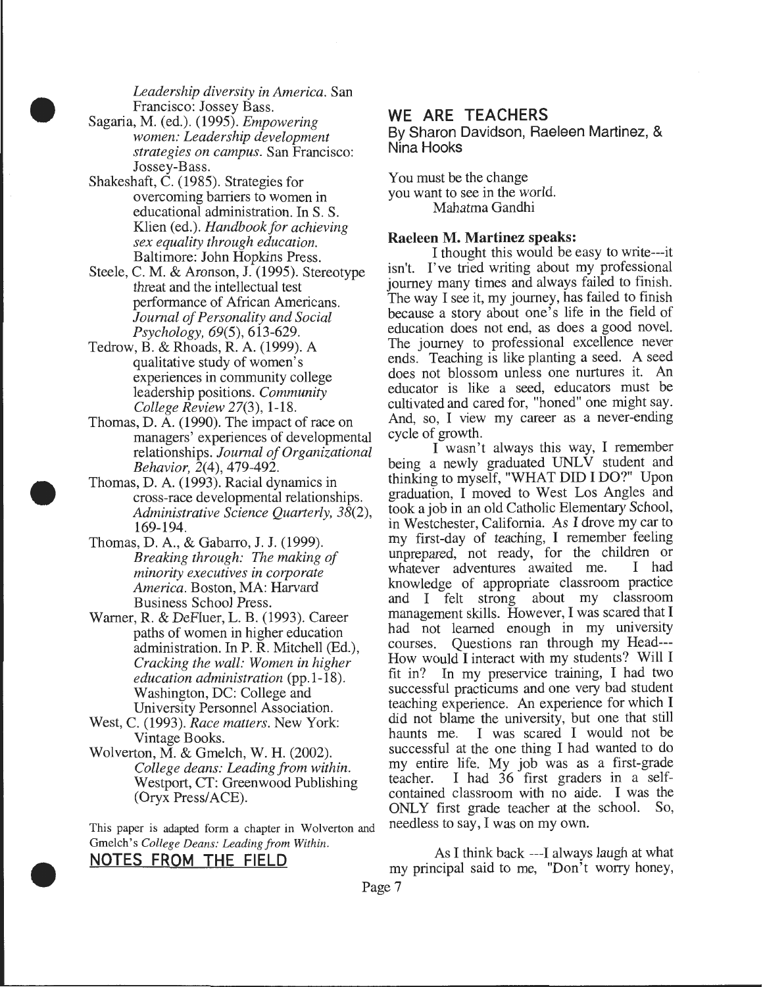*Leadership diversity in America.* San Francisco: Jossey Bass.

Sagaria, M. (ed.). (1995). *Empowering women: Leadership development strategies on campus.* San Francisco: Jossey-Bass.

•

•

•

- Shakeshaft, C. (1985). Strategies for overcoming barriers to women in educational administration. In S. S. Klien (ed.). *Handbook for achieving sex equality through education.*  Baltimore: John Hopkins Press.
- Steele, C. M. & Aronson, J. (1995). Stereotype threat and the intellectual test performance of African Americans. *Journal of Personality and Social Psychology,* 69(5), 613-629.
- Tedrow, B. & Rhoads, R. A. (1999). A qualitative study of women's experiences in community college leadership positions. *Community College Review* 27(3), 1-18.
- Thomas, D. A. (1990). The impact of race on managers' experiences of developmental relationships. *Journal of Organizational Behavior,* 2(4), 479-492.
- Thomas, D. A. (1993). Racial dynamics in cross-race developmental relationships. *Administrative Science Quarterly, 38(2),*  169-194.
- Thomas, D. A., & Gabarro, J. J. (1999). *Breaking through: The making of minority executives in corporate America.* Boston, MA: Harvard Business School Press.
- Warner, R. & DeFluer, L. B. (1993). Career paths of women in higher education administration. In P.R. Mitchell (Ed.), *Cracking the wall: Women in higher education administration* (pp.1-18). Washington, DC: College and University Personnel Association.
- West, C. (1993). *Race matters.* New York: Vintage Books.
- Wolverton, M. & Gmelch, W. H. (2002). *College deans: Leading from within.*  Westport, CT: Greenwood Publishing (Oryx Press/ACE).

This paper is adapted form a chapter in Wolverton and Gmelch's *College Deans: Leading from Within.* 

#### **NOTES FROM THE FIELD**

#### **WE ARE TEACHERS**

By Sharon Davidson, Raeleen Martinez, & Nina Hooks '

You must be the change you want to see in the world. Mahatma Gandhi

#### Raeleen M. Martinez speaks:

I thought this would be easy to write---it isn't. I've tried writing about my professional journey many times and always failed to finish. The way I see it, my journey, has failed to finish because a story about one's life in the field of education does not end, as does a good novel. The journey to professional excellence never ends. Teaching is like planting a seed. A seed does not blossom unless one nurtures it. An educator is like a seed, educators must be cultivated and cared for, "honed" one might say. And, so, I view my career as a never-ending cycle of growth.

I wasn't always this way, I remember being a newly graduated UNLV student and thinking to myself, "WHAT DID I DO?" Upon graduation, I moved to West Los Angles and took a job in an old Catholic Elementary School, in Westchester, California. As I drove my car to my first-day of teaching, I remember feeling unprepared, not ready, for the children or whatever adventures awaited me. I had whatever adventures awaited me. knowledge of appropriate classroom practice and I felt strong about my classroom management skills. However, I was scared that I had not learned enough in my university courses. Questions ran through my Head--- How would I interact with my students? Will I fit in? In my preservice training, I had two successful practicums and one very bad student teaching experience. An experience for which I did not blame the university, but one that still haunts me. I was scared I would not be successful at the one thing I had wanted to do my entire life. My job was as a first-grade teacher. I had 36 first graders in a selfcontained classroom with no aide. I was the ONLY first grade teacher at the school. So, needless to say, I was on my own.

As I think back ---I always laugh at what my principal said to me, "Don't worry honey,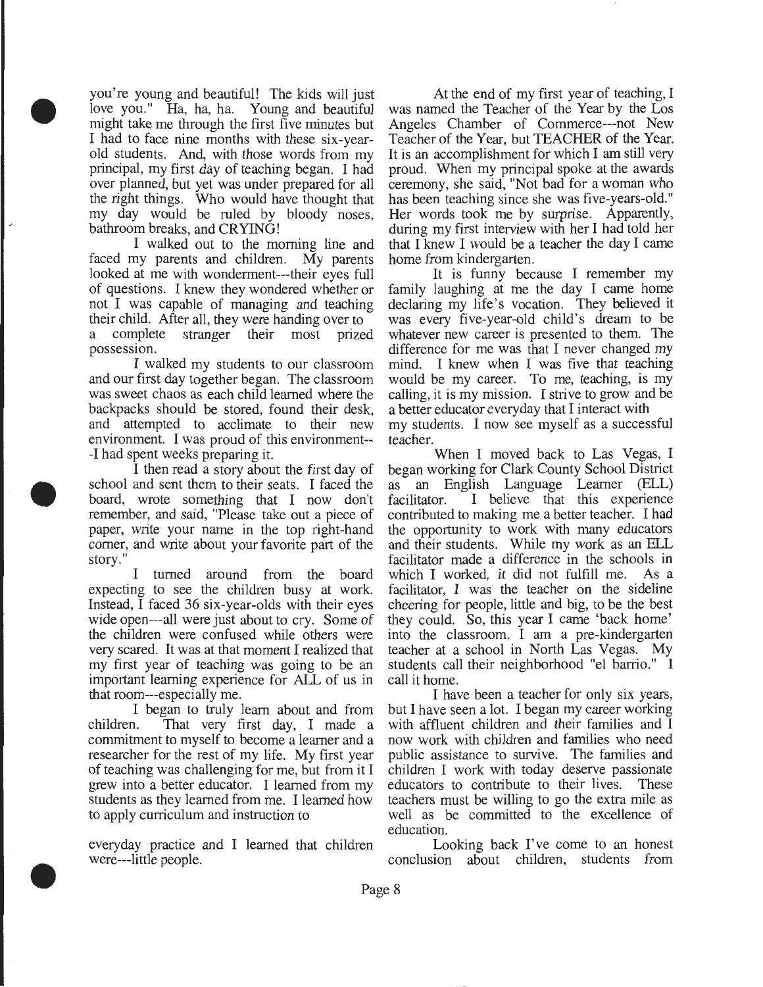you're young and beautiful! The kids will just love you." Ha, ha, ha. Young and beautiful might take me through the first five minutes but I had to face nine months with these six-yearold students. And, with those words from my principal, my first day of teaching began. I had over planned, but yet was under prepared for all the right things. Who would have thought that my day would be ruled by bloody noses, bathroom breaks, and CRYING!

•

•

•

I walked out to the morning line and faced my parents and children. My parents looked at me with wonderment---their eyes full of questions. I knew they wondered whether or not I was capable of managing and teaching their child. After all, they were handing over to a complete stranger their most prized possession.

I walked my students to our classroom and our first day together began. The classroom was sweet chaos as each child learned where the backpacks should be stored, found their desk, and attempted to acclimate to their new environment. I was proud of this environment-- -I had spent weeks preparing it.

I then read a story about the first day of school and sent them to their seats. I faced the board, wrote something that I now don't remember, and said, "Please take out a piece of paper, write your name in the top right-hand comer, and write about your favorite part of the story."

I turned around from the board expecting to see the children busy at work. Instead, I faced 36 six-year-olds with their eyes wide open---all were just about to cry. Some of the children were confused while others were very scared. It was at that moment I realized that my first year of teaching was going to be an important learning experience for ALL of us in that room---especially me.

I began to truly learn about and from children. That very first day, I made a commitment to myself to become a learner and a researcher for the rest of my life. My first year of teaching was challenging for me, but from it I grew into a better educator. I learned from my students as they learned from me. I learned how to apply curriculum and instruction to

everyday practice and I learned that children were---little people.

At the end of my first year of teaching, I was named the Teacher of the Year by the Los Angeles Chamber of Commerce---not New Teacher of the Year, but TEACHER of the Year. It is an accomplishment for which I am still very proud. When my principal spoke at the awards ceremony, she said, "Not bad for a woman who has been teaching since she was five-years-old." Her words took me by surprise. Apparently, during my first interview with her I had told her that I knew I would be a teacher the day I came home from kindergarten.

It is funny because I remember my family laughing at me the day I came home declaring my life's vocation. They believed it was every five-year-old child's dream to be whatever new career is presented to them. The difference for me was that I never changed my mind. I knew when I was five that teaching would be my career. To me, teaching, is my calling, it is my mission. I strive to grow and be a better educator everyday that I interact with my students. I now see myself as a successful teacher.

When I moved back to Las Vegas, I began working for Clark County School District as an English Language Leamer (ELL) facilitator. I believe that this experience contributed to making me a better teacher. I had the opportunity to work with many educators and their students. While my work as an ELL facilitator made a difference in the schools in which I worked, it did not fulfill me. As a facilitator, I was the teacher on the sideline cheering for people, little and big, to be the best they could. So, this year I came 'back home' into the classroom. I am a pre-kindergarten teacher at a school in North Las Vegas. My students call their neighborhood "el barrio." I call it home.

I have been a teacher for only six years, but I have seen a lot. I began my career working with affluent children and their families and I now work with children and families who need public assistance to survive. The families and children I work with today deserve passionate educators to contribute to their lives. These teachers must be willing to go the extra mile as well as be committed to the excellence of education.

Looking back I've come to an honest conclusion about children, students from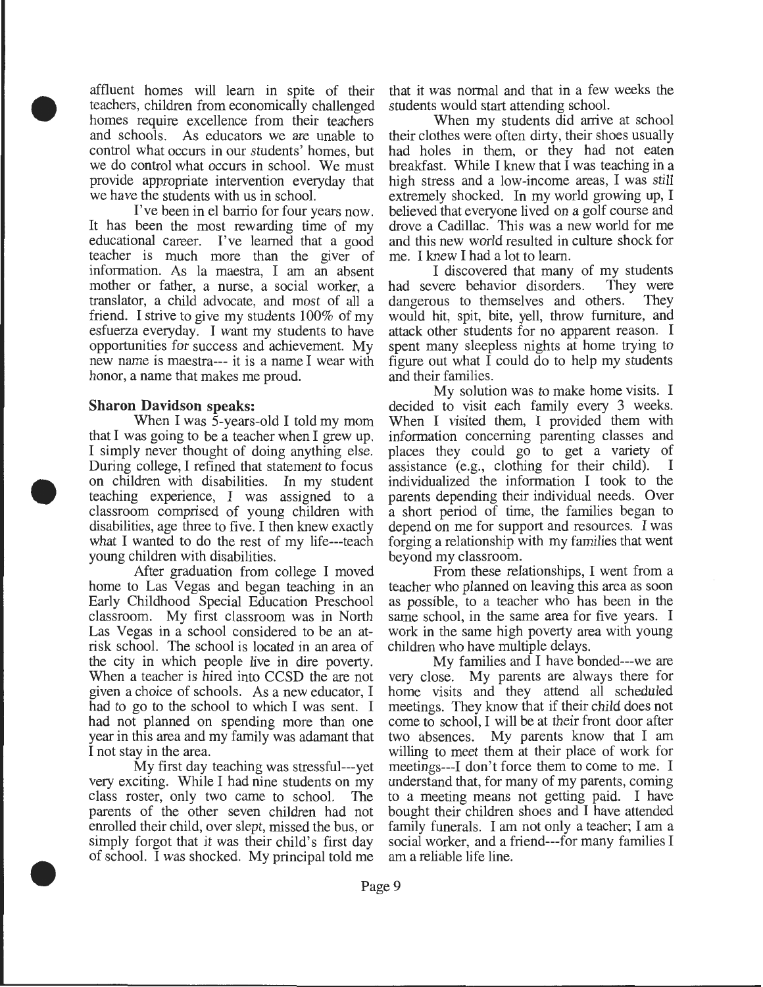affluent homes will learn in spite of their teachers, children from economically challenged homes require excellence from their teachers and schools. As educators we are unable to control what occurs in our students' homes, but we do control what occurs in school. We must provide appropriate intervention everyday that we have the students with us in school.

I've been in el barrio for four years now. It has been the most rewarding time of my educational career. I've learned that a good teacher is much more than the giver of information. As la maestra, I am an absent mother or father, a nurse, a social worker, a translator, a child advocate, and most of all a friend. I strive to give my students 100% of my esfuerza everyday. I want my students to have opportunities for success and achievement. My new name is maestra--- it is a name I wear with honor, a name that makes me proud.

#### **Sharon Davidson** speaks:

•

•

•

When I was 5-years-old I told my mom that I was going to be a teacher when I grew up. I simply never thought of doing anything else. During college, I refined that statement to focus on children with disabilities. In my student teaching experience, I was assigned to a classroom comprised of young children with disabilities, age three to five. I then knew exactly what I wanted to do the rest of my life---teach young children with disabilities.

After graduation from college I moved home to Las Vegas and began teaching in an Early Childhood Special Education Preschool classroom. My first classroom was in North Las Vegas in a school considered to be an atrisk school. The school is located in an area of the city in which people live in dire poverty. When a teacher is hired into CCSD the are not given a choice of schools. As a new educator, I had to go to the school to which I was sent. I had not planned on spending more than one year in this area and my family was adamant that I not stay in the area.

My first day teaching was stressful---yet very exciting. While I had nine students on my class roster, only two came to school. The parents of the other seven children had not enrolled their child, over slept, missed the bus, or simply forgot that it was their child's first day of school. I was shocked. My principal told me that it was normal and that in a few weeks the students would start attending school.

When my students did arrive at school their clothes were often dirty, their shoes usually had holes in them, or they had not eaten breakfast. While I knew that I was teaching in a high stress and a low-income areas, I was still extremely shocked. In my world growing up, I believed that everyone lived on a golf course and drove a Cadillac. This was a new world for me and this new world resulted in culture shock for me. I knew I had a lot to learn.

I discovered that many of my students had severe behavior disorders. They were dangerous to themselves and others. They would hit, spit, bite, yell, throw furniture, and attack other students for no apparent reason. I spent many sleepless nights at home trying to figure out what  $\overline{I}$  could do to help my students and their families.

My solution was to make home visits. I decided to visit each family every 3 weeks. When I visited them, I provided them with information concerning parenting classes and places they could go to get a variety of assistance (e.g., clothing for their child). I individualized the information I took to the parents depending their individual needs. Over a short period of time, the families began to depend on me for support and resources. I was forging a relationship with my families that went beyond my classroom.

From these relationships, I went from a teacher who planned on leaving this area as soon as possible, to a teacher who has been in the same school, in the same area for five years. I work in the same high poverty area with young children who have multiple delays.

My families and I have bonded---we are very close. My parents are always there for home visits and they attend all scheduled meetings. They know that if their child does not come to school, I will be at their front door after two absences. My parents know that I am willing to meet them at their place of work for meetings---I don't force them to come to me. I understand that, for many of my parents, coming to a meeting means not getting paid. I have bought their children shoes and I have attended family funerals. I am not only a teacher; I am a social worker, and a friend---for many families I am a reliable life line.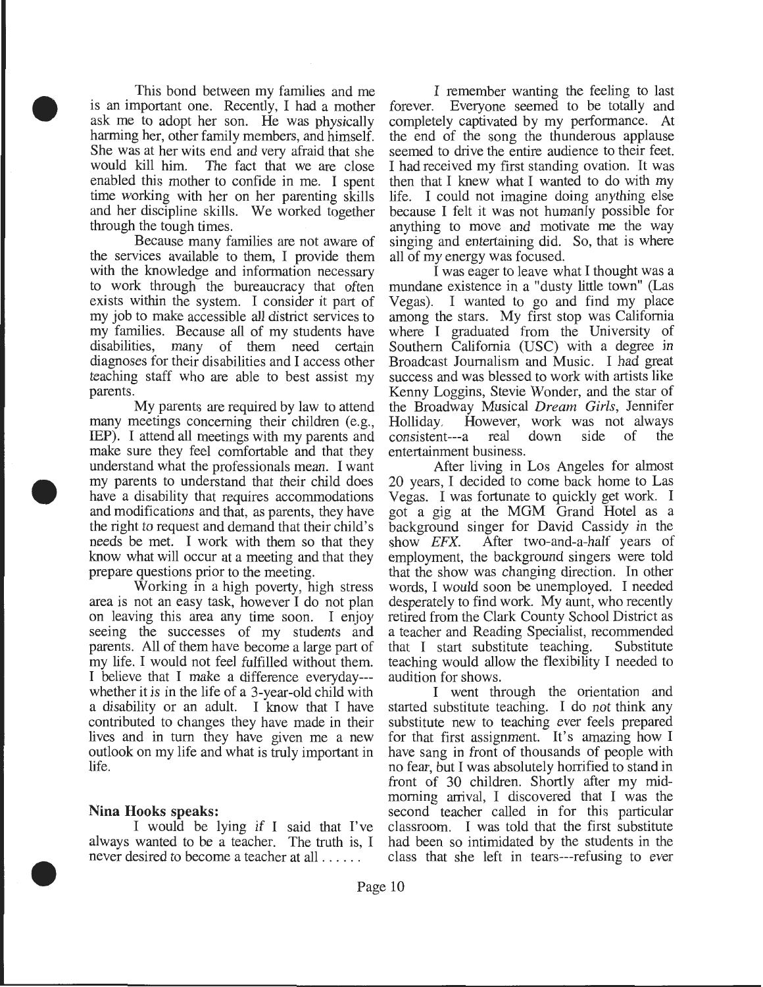This bond between my families and me is an important one. Recently, I had a mother ask me to adopt her son. He was physically harming her, other family members, and himself. She was at her wits end and very afraid that she would kill him. The fact that we are close enabled this mother to confide in me. I spent time working with her on her parenting skills and her discipline skills. We worked together through the tough times.

•

•

•

Because many families are not aware of the services available to them, I provide them with the knowledge and information necessary to work through the bureaucracy that often exists within the system. I consider it part of my job to make accessible all district services to my families. Because all of my students have disabilities, many of them need certain diagnoses for their disabilities and I access other teaching staff who are able to best assist my parents.

My parents are required by law to attend many meetings concerning their children (e.g., IEP). I attend all meetings with my parents and make sure they feel comfortable and that they understand what the professionals mean. I want my parents to understand that their child does have a disability that requires accommodations and modifications and that, as parents, they have the right to request and demand that their child's needs be met. I work with them so that they know what will occur at a meeting and that they prepare questions prior to the meeting.

Working in a high poverty, high stress area is not an easy task, however I do not plan on leaving this area any time soon. I enjoy seeing the successes of my students and parents. All of them have become a large part of my life. I would not feel fulfilled without them. I believe that I make a difference everyday-- whether it is in the life of a 3-year-old child with a disability or an adult. I know that I have contributed to changes they have made in their lives and in turn they have given me a new outlook on my life and what is truly important in life.

#### **Nina Hooks speaks:**

I would be lying if I said that I've always wanted to be a teacher. The truth is, I never desired to become a teacher at all ..... .

I remember wanting the feeling to last forever. Everyone seemed to be totally and completely captivated by my performance. At the end of the song the thunderous applause seemed to drive the entire audience to their feet. I had received my first standing ovation. It was then that I knew what I wanted to do with my life. I could not imagine doing anything else because I felt it was not humanly possible for anything to move and motivate me the way singing and entertaining did. So, that is where all of my energy was focused.

I was eager to leave what I thought was a mundane existence in a "dusty little town" (Las Vegas). I wanted to go and find my place among the stars. My first stop was California where I graduated from the University of Southern California (USC) with a degree in Broadcast Journalism and Music. I had great success and was blessed to work with artists like Kenny Loggins, Stevie Wonder, and the star of the Broadway Musical *Dream Girls,* Jennifer Holliday. However, work was not always consistent---a real down side of the entertainment business.

After living in Los Angeles for almost 20 years, I decided to come back home to Las Vegas. I was fortunate to quickly get work. I got a gig at the MGM Grand Hotel as a background singer for David Cassidy in the show *EFX.* After two-and-a-half years of employment, the background singers were told that the show was changing direction. In other words, I would soon be unemployed. I needed desperately to find work. My aunt, who recently retired from the Clark County School District as a teacher and Reading Specialist, recommended that I start substitute teaching. Substitute teaching would allow the flexibility I needed to audition for shows.

I went through the orientation and started substitute teaching. I do not think any substitute new to teaching ever feels prepared for that first assignment. It's amazing how I have sang in front of thousands of people with no fear, but I was absolutely horrified to stand in front of 30 children. Shortly after my midmorning arrival, I discovered that I was the second teacher called in for this particular classroom. I was told that the first substitute had been so intimidated by the students in the class that she left in tears---refusing to ever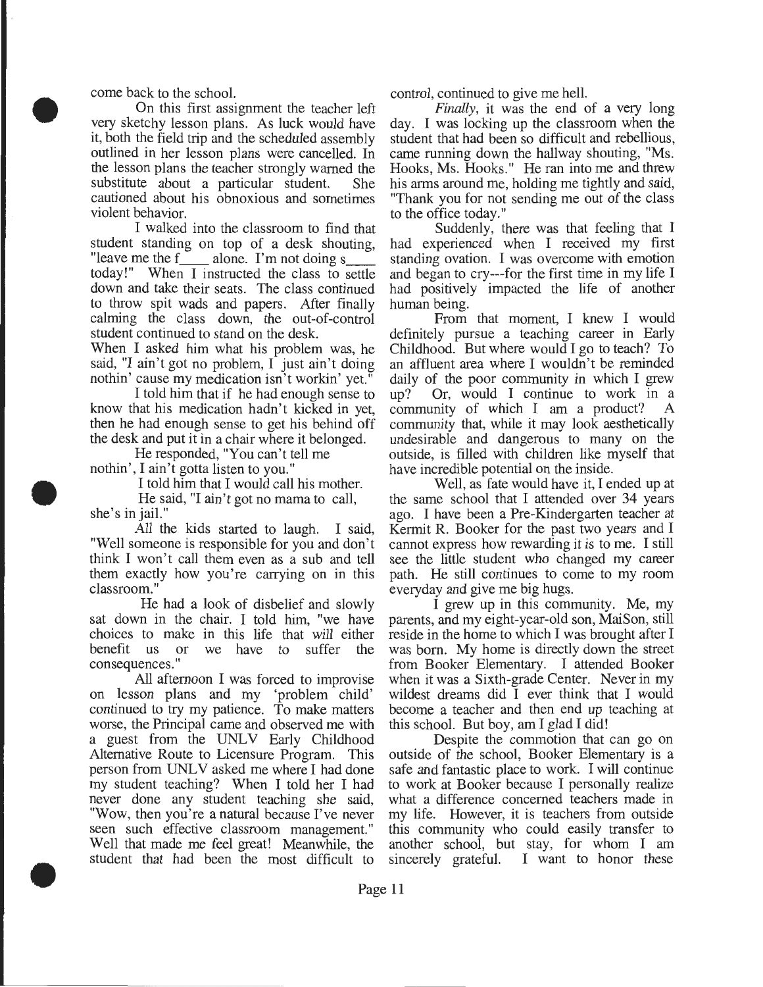come back to the school.

•

•

•

On this first assignment the teacher left very sketchy lesson plans. As luck would have it, both the field trip and the scheduled assembly outlined in her lesson plans were cancelled. In the lesson plans the teacher strongly warned the substitute about a particular student. She cautioned about his obnoxious and sometimes violent behavior.

I walked into the classroom to find that student standing on top of a desk shouting, "leave me the  $f_{\text{max}}$  alone. I'm not doing s today!" When I instructed the class to settle down and take their seats. The class continued to throw spit wads and papers. After finally calming the class down, the out-of-control student continued to stand on the desk.

When I asked him what his problem was, he said, "I ain't got no problem, I just ain't doing nothin' cause my medication isn't workin' yet."

I told him that if he had enough sense to know that his medication hadn't kicked in yet, then he had enough sense to get his behind off the desk and put it in a chair where it belonged.

He responded, "You can't tell me nothin', I ain't gotta listen to you."

I told him that I would call his mother.

He said, "I ain't got no mama to call, she's in jail."

All the kids started to laugh. I said, "Well someone is responsible for you and don't think I won't call them even as a sub and tell them exactly how you're carrying on in this classroom."

He had a look of disbelief and slowly sat down in the chair. I told him, "we have choices to make in this life that will either benefit us or we have to suffer the consequences."

All afternoon I was forced to improvise on lesson plans and my 'problem child' continued to try my patience. To make matters worse, the Principal came and observed me with a guest from the UNLV Early Childhood Alternative Route to Licensure Program. This person from UNLV asked me where I had done my student teaching? When I told her I had never done any student teaching she said, "Wow, then you're a natural because I've never seen such effective classroom management." Well that made me feel great! Meanwhile, the student that had been the most difficult to

control, continued to give me hell.

*Finally,* it was the end of a very long day. I was locking up the classroom when the student that had been so difficult and rebellious, came running down the hallway shouting, "Ms. Hooks, Ms. Hooks." He ran into me and threw his arms around me, holding me tightly and said, "Thank you for not sending me out of the class to the office today."

Suddenly, there was that feeling that I had experienced when I received my first standing ovation. I was overcome with emotion and began to cry---for the first time in my life I had positively impacted the life of another human being.

From that moment, I knew I would definitely pursue a teaching career in Early Childhood. But where would I go to teach? To an affluent area where I wouldn't be reminded daily of the poor community in which I grew up? Or, would I continue to work in a community of which I am a product? A community that, while it may look aesthetically undesirable and dangerous to many on the outside, is filled with children like myself that have incredible potential on the inside.

Well, as fate would have it, I ended up at the same school that I attended over 34 years ago. I have been a Pre-Kindergarten teacher at Kermit R. Booker for the past two years and I cannot express how rewarding it is to me. I still see the little student who changed my career path. He still continues to come to my room everyday and give me big hugs.

I grew up in this community. Me, my parents, and my eight-year-old son, MaiSon, still reside in the home to which I was brought after I was born. My home is directly down the street from Booker Elementary. I attended Booker when it was a Sixth-grade Center. Never in my wildest dreams did I ever think that I would become a teacher and then end up teaching at this school. But boy, am I glad I did!

Despite the commotion that can go on outside of the school, Booker Elementary is a safe and fantastic place to work. I will continue to work at Booker because I personally realize what a difference concerned teachers made in my life. However, it is teachers from outside this community who could easily transfer to another school, but stay, for whom I am sincerely grateful. I want to honor these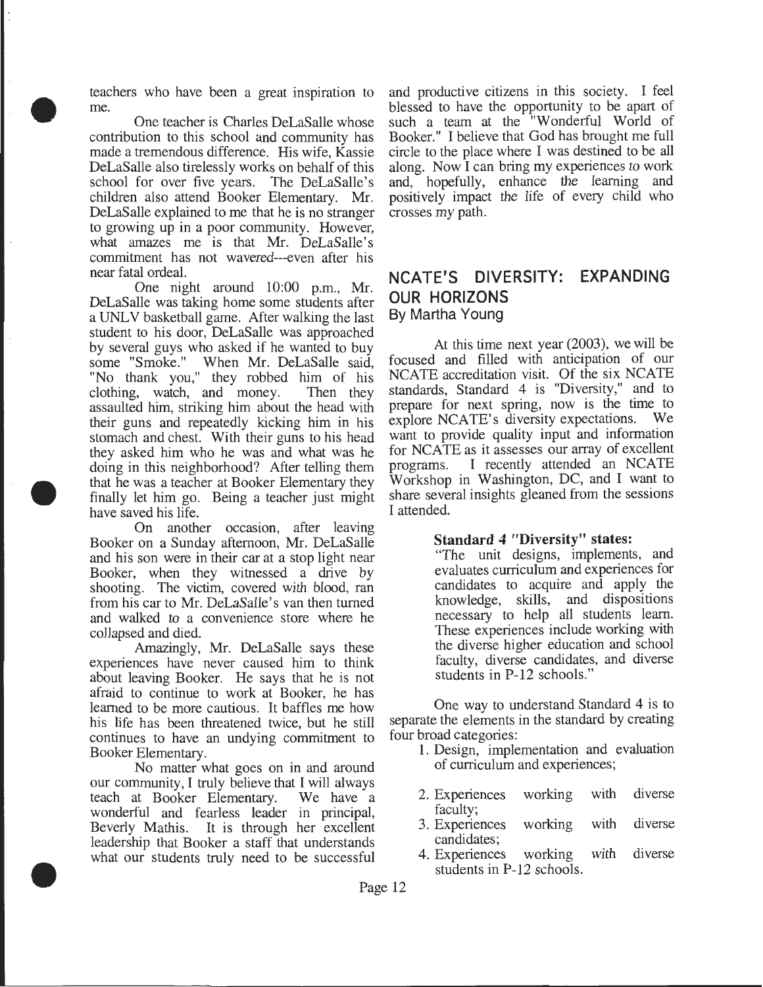teachers who have been a great inspiration to me.

•

•

•

One teacher is Charles DeLaSalle whose contribution to this school and community has made a tremendous difference. His wife, Kassie DeLaSalle also tirelessly works on behalf of this school for over five years. The DeLaSalle's children also attend Booker Elementary. Mr. DeLaSalle explained to me that he is no stranger to growing up in a poor community. However, what amazes me is that Mr. DeLaSalle's commitment has not wavered---even after his near fatal ordeal.

One night around 10:00 p.m., Mr. DeLaSalle was taking home some students after a UNLV basketball game. After walking the last student to his door, DeLaSalle was approached by several guys who asked if he wanted to buy some "Smoke." When Mr. DeLaSalle said, "No thank you," they robbed him of his clothing, watch, and money. Then they assaulted him, striking him about the head with their guns and repeatedly kicking him in his stomach and chest. With their guns to his head they asked him who he was and what was he doing in this neighborhood? After telling them that he was a teacher at Booker Elementary they finally let him go. Being a teacher just might have saved his life.

On another occasion, after leaving Booker on a Sunday afternoon, Mr. DeLaSalle and his son were in their car at a stop light near Booker, when they witnessed a drive by shooting. The victim, covered with blood, ran from his car to Mr. DeLaSalle's van then turned and walked to a convenience store where he collapsed and died.

Amazingly, Mr. DeLaSalle says these experiences have never caused him to think about leaving Booker. He says that he is not afraid to continue to work at Booker, he has learned to be more cautious. It baffles me how his life has been threatened twice, but he still continues to have an undying commitment to Booker Elementary.

No matter what goes on in and around our community, I truly believe that I will always teach at Booker Elementary. We have a wonderful and fearless leader in principal, Beverly Mathis. It is through her excellent leadership that Booker a staff that understands what our students truly need to be successful

and productive citizens in this society. I feel blessed to have the opportunity to be apart of such a team at the "Wonderful World of Booker." I believe that God has brought me full circle to the place where I was destined to be all along. Now I can bring my experiences to work and, hopefully, enhance the learning and positively impact the life of every child who crosses my path.

### NCATE'S DIVERSITY: EXPANDING OUR HORIZONS By Martha Young

At this time next year (2003), we will be focused and filled with anticipation of our NCATE accreditation visit. Of the six NCATE standards, Standard 4 is "Diversity," and to prepare for next spring, now is the time to explore NCATE's diversity expectations. We explore NCATE's diversity expectations. want to provide quality input and information for NCATE as it assesses our array of excellent programs. I recently attended an NCATE Workshop in Washington, DC, and I want to share several insights gleaned from the sessions I attended.

#### Standard 4 "Diversity" states:

"The unit designs, implements, and evaluates curriculum and experiences for candidates to acquire and apply the knowledge, skills, and dispositions necessary to help all students learn. These experiences include working with the diverse higher education and school faculty, diverse candidates, and diverse students in P-12 schools."

One way to understand Standard 4 is to separate the elements in the standard by creating four broad categories:

- 1. Design, implementation and evaluation of curriculum and experiences;
- 2. Experiences working with diverse faculty;
- 3. Experiences working with diverse candidates;
- 4. Experiences working with diverse students in P-12 schools.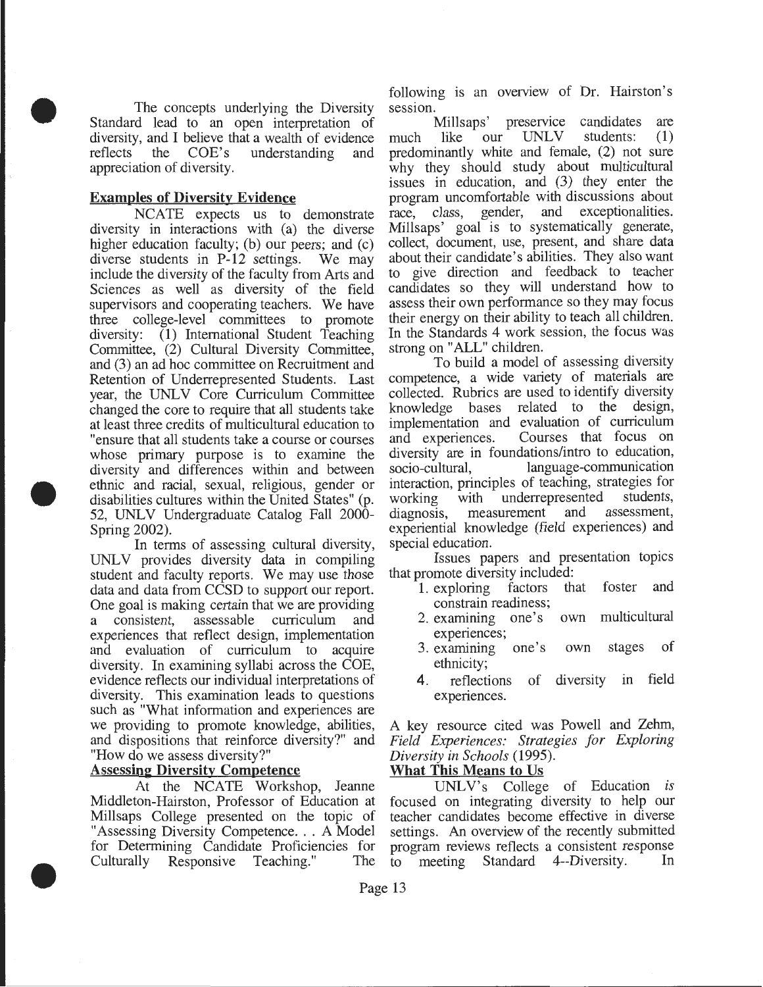The concepts underlying the Diversity Standard lead to an open interpretation of diversity, and I believe that a wealth of evidence reflects the COE's understanding and appreciation of diversity.

#### **Examples of Diversity Evidence**

•

•

•

NCATE expects us to demonstrate diversity in interactions with (a) the diverse higher education faculty; (b) our peers; and (c) diverse students in P-12 settings. We may include the diversity of the faculty from Arts and Sciences as well as diversity of the field supervisors and cooperating teachers. We have three college-level committees to promote diversity: (1) International Student Teaching Committee, (2) Cultural Diversity Committee, and (3) an ad hoc committee on Recruitment and Retention of Underrepresented Students. Last year, the UNLV Core Curriculum Committee changed the core to require that all students take at least three credits of multicultural education to "ensure that all students take a course or courses whose primary purpose is to examine the diversity and differences within and between ethnic and racial, sexual, religious, gender or disabilities cultures within the United States" (p. 52, UNLV Undergraduate Catalog Fall 2000-Spring 2002).

In terms of assessing cultural diversity, UNLV provides diversity data in compiling student and faculty reports. We may use those data and data from CCSD to support our report. One goal is making certain that we are providing a consistent, assessable curriculum and experiences that reflect design, implementation and evaluation of curriculum to acquire diversity. In examining syllabi across the COE, evidence reflects our individual interpretations of diversity. This examination leads to questions such as "What information and experiences are we providing to promote knowledge, abilities, and dispositions that reinforce diversity?" and "How do we assess diversity?"

#### **Assessing Diversity Competence**

At the NCATE Workshop, Jeanne Middleton-Hairston, Professor of Education at Millsaps College presented on the topic of "Assessing Diversity Competence ... A Model for Determining Candidate Proficiencies for Culturally Responsive Teaching." The

following is an overview of Dr. Hairston's

session.<br>Millsaps' Millsaps' preservice candidates are<br>like our UNLV students: (1) much like our UNLV students: **(1)**  predominantly white and female, (2) not sure why they should study about multicultural issues in education, and (3) they enter the program uncomfortable with discussions about race, class, gender, and exceptionalities. Millsaps' goal is to systematically generate, collect, document, use, present, and share data about their candidate's abilities. They also want to give direction and feedback to teacher candidates so they will understand how to assess their own performance so they may focus their energy on their ability to teach all children. In the Standards 4 work session, the focus was strong on "ALL" children.

To build a model of assessing diversity competence, a wide variety of materials are collected. Rubrics are used to identify diversity knowledge bases related to the design, implementation and evaluation of curriculum and experiences. Courses that focus on diversity are in foundations/intro to education, socio-cultural, language-communication interaction, principles of teaching, strategies for working with underrepresented students,<br>diagnosis, measurement and assessment, diagnosis, measurement experiential knowledge (field experiences) and special education.

Issues papers and presentation topics that promote diversity included:<br>1. exploring factors that foster

- **1.** exploring factors that foster and constrain readiness;
- 2. examining one's own multicultural experiences;
- 3. examining one's own stages of ethnicity;
- **4.** reflections of diversity in field experiences.

A key resource cited was Powell and Zehm, *Field Experiences: Strategies for Exploring Diversity in Schools* (1995).

#### **What This Means to Us**

UNLV's College of Education *is* focused on integrating diversity to help our teacher candidates become effective in diverse settings. An overview of the recently submitted program reviews reflects a consistent response<br>to meeting Standard 4--Diversity. In to meeting Standard 4--Diversity.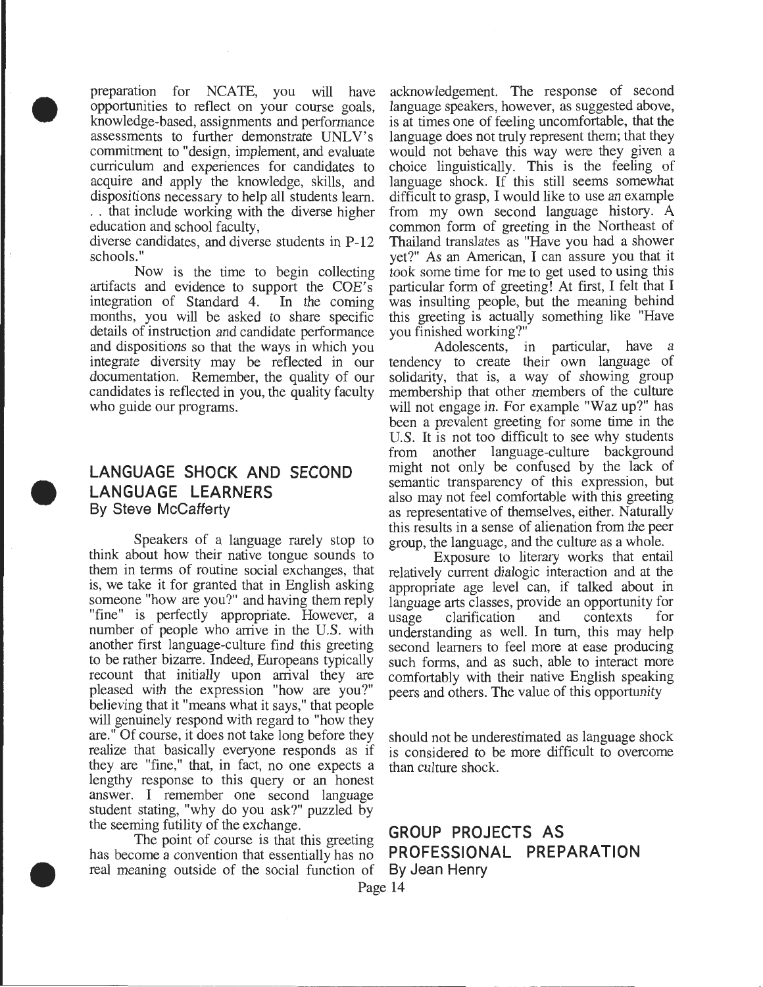• preparation for NCATE, you will have opportunities to reflect on your course goals, knowledge-based, assignments and performance assessments to further demonstrate UNLV's commitment to "design, implement, and evaluate curriculum and experiences for candidates to acquire and apply the knowledge, skills, and dispositions necessary to help all students learn. .. that include working with the diverse higher education and school faculty,

> diverse candidates, and diverse students in P-12 schools."

> Now is the time to begin collecting artifacts and evidence to support the COE's<br>integration of Standard 4. In the coming integration of Standard 4. months, you will be asked to share specific details of instruction and candidate performance and dispositions so that the ways in which you integrate diversity may be reflected in our documentation. Remember, the quality of our candidates is reflected in you, the quality faculty who guide our programs.

#### **LANGUAGE SHOCK AND SECOND LANGUAGE LEARNERS**  By Steve McCafferty

•

•

Speakers of a language rarely stop to think about how their native tongue sounds to them in terms of routine social exchanges, that is, we take it for granted that in English asking someone "how are you?" and having them reply "fine" is perfectly appropriate. However, a number of people who arrive in the U.S. with another first language-culture find this greeting to be rather bizarre. Indeed, Europeans typically recount that initially upon arrival they are pleased with the expression "how are you?" believing that it "means what it says," that people will genuinely respond with regard to "how they are." Of course, it does not take long before they realize that basically everyone responds as if they are "fine," that, in fact, no one expects a lengthy response to this query or an honest answer. I remember one second language student stating, "why do you ask?" puzzled by the seeming futility of the exchange.<br> **GROUP PROJECTS AS** 

has become a convention that essentially has no **PROFESSION** real meaning outside of the social function of **By Jean Henry** real meaning outside of the social function of

acknowledgement. The response of second language speakers, however, as suggested above, is at times one of feeling uncomfortable, that the language does not truly represent them; that they would not behave this way were they given a choice linguistically. This is the feeling of language shock. If this still seems somewhat difficult to grasp, I would like to use an example from my own second language history. A common form of greeting in the Northeast of Thailand translates as "Have you had a shower yet?" As an American, I can assure you that it took some time for me to get used to using this particular form of greeting! At first, I felt that I was insulting people, but the meaning behind this greeting is actually something like "Have you finished working?"

Adolescents, in particular, have a tendency to create their own language of solidarity, that is, a way of showing group membership that other members of the culture will not engage in. For example "Waz up?" has been a prevalent greeting for some time in the U.S. It is not too difficult to see why students from another language-culture background might not only be confused by the lack of semantic transparency of this expression, but also may not feel comfortable with this greeting as representative of themselves, either. Naturally this results in a sense of alienation from the peer group, the language, and the culture as a whole.

Exposure to literary works that entail relatively current dialogic interaction and at the appropriate age level can, if talked about in language arts classes, provide an opportunity for<br>usage clarification and contexts for usage clarification and understanding as well. In turn, this may help second learners to feel more at ease producing such forms, and as such, able to interact more comfortably with their native English speaking peers and others. The value of this opportunity

should not be underestimated as language shock is considered to be more difficult to overcome than culture shock.

# The point of course is that this greeting<br>come a convention that essentially has no<br>**PROFESSIONAL** PREPARATION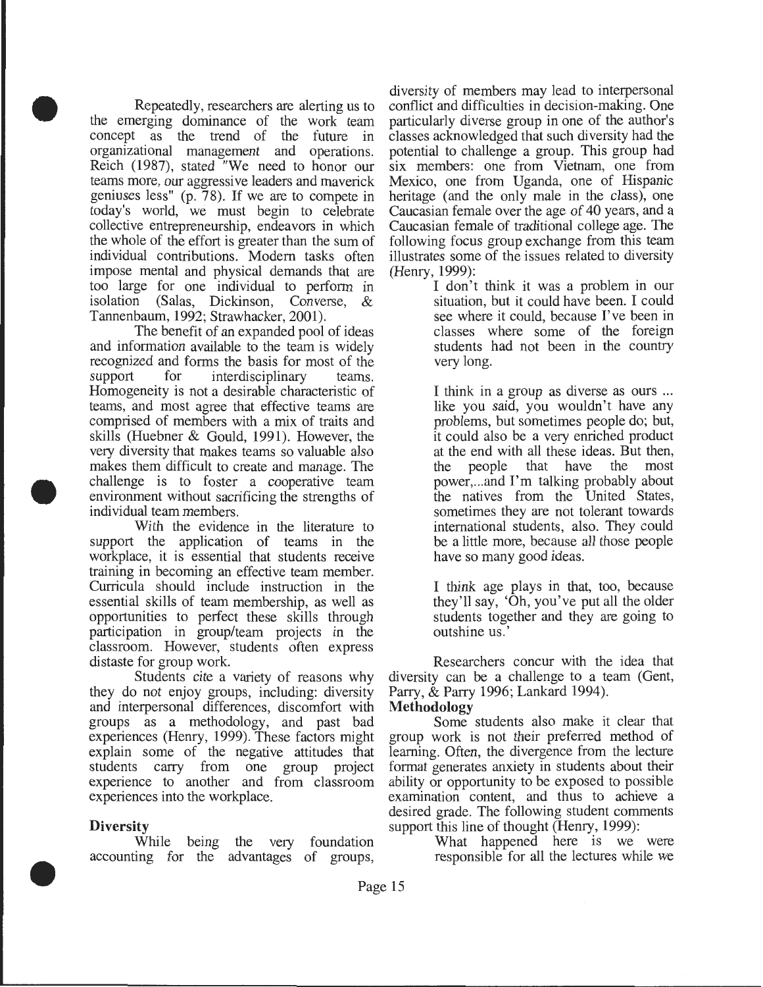Repeatedly, researchers are alerting us to the emerging dominance of the work team concept as the trend of the future in organizational management and operations. Reich (1987), stated "We need to honor our teams more, our aggressive leaders and maverick geniuses less" (p. 78). If we are to compete in today's world, we must begin to celebrate collective entrepreneurship, endeavors in which the whole of the effort is greater than the sum of individual contributions. Modem tasks often impose mental and physical demands that are too large for one individual to perform in isolation (Salas, Dickinson, Converse, & Tannenbaum, 1992; Strawhacker, 2001).

•

•

The benefit of an expanded pool of ideas and information available to the team is widely recognized and forms the basis for most of the support for interdisciplinary teams. Homogeneity is not a desirable characteristic of teams, and most agree that effective teams are comprised of members with a mix of traits and skills (Huebner & Gould, 1991). However, the very diversity that makes teams so valuable also makes them difficult to create and manage. The challenge is to foster a cooperative team environment without sacrificing the strengths of individual team members.

With the evidence in the literature to support the application of teams in the workplace, it is essential that students receive training in becoming an effective team member. Curricula should include instruction in the essential skills of team membership, as well as opportunities to perfect these skills through participation in group/team projects in the classroom. However, students often express distaste for group work.

Students cite a variety of reasons why they do not enjoy groups, including: diversity and interpersonal differences, discomfort with groups as a methodology, and past bad experiences (Henry, 1999). These factors might explain some of the negative attitudes that students carry from one group project experience to another and from classroom experiences into the workplace.

#### **Diversity**

•

While being the very foundation accounting for the advantages of groups,

diversity of members may lead to interpersonal conflict and difficulties in decision-making. One particularly diverse group in one of the author's classes acknowledged that such diversity had the potential to challenge a group. This group had six members: one from Vietnam, one from Mexico, one from Uganda, one of Hispanic heritage (and the only male in the class), one Caucasian female over the age of 40 years, and a Caucasian female of traditional college age. The following focus group exchange from this team illustrates some of the issues related to diversity (Henry, 1999):

> I don't think it was a problem in our situation, but it could have been. I could see where it could, because I've been in classes where some of the foreign students had not been in the country very long.

> I think in a group as diverse as ours ... like you said, you wouldn't have any problems, but sometimes people do; but, it could also be a very enriched product at the end with all these ideas. But then,<br>the people that have the most the people that have the most power, ... and I'm talking probably about the natives from the United States, sometimes they are not tolerant towards international students, also. They could be a little more, because all those people have so many good ideas.

> I think age plays in that, too, because they'll say, 'Oh, you've put all the older students together and they are going to outshine us.'

Researchers concur with the idea that diversity can be a challenge to a team (Gent, Parry, & Parry 1996; Lankard 1994).

#### **Methodology**

Some students also make it clear that group work is not their preferred method of learning. Often, the divergence from the lecture format generates anxiety in students about their ability or opportunity to be exposed to possible examination content, and thus to achieve a desired grade. The following student comments support this line of thought (Henry, 1999):

What happened here is we were responsible for all the lectures while we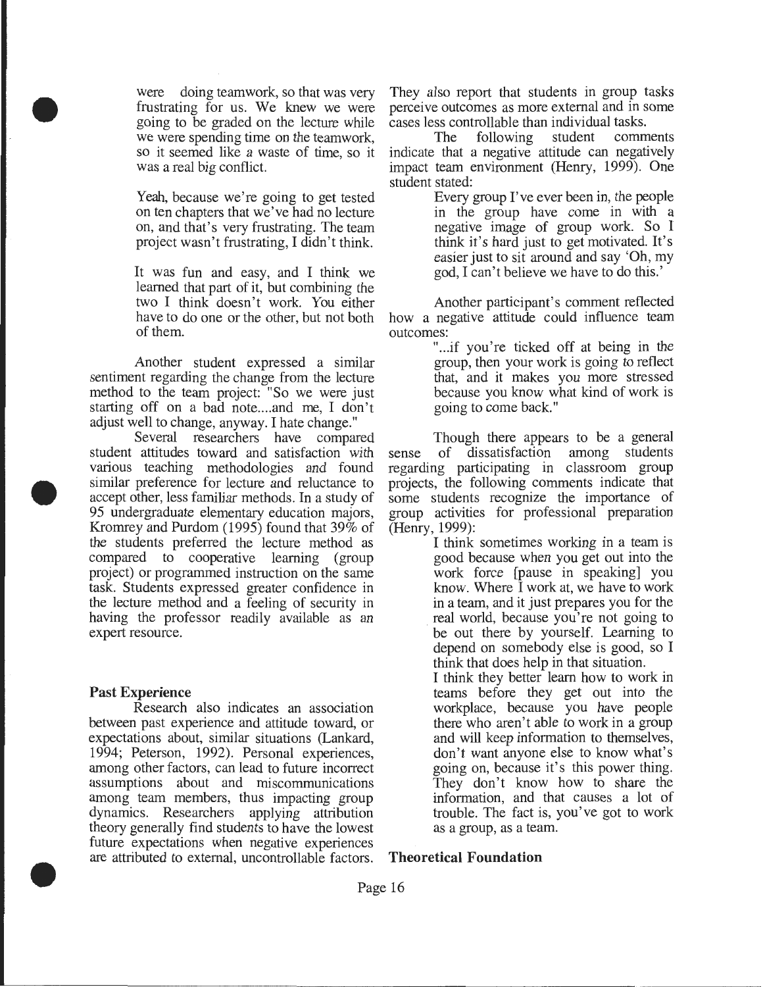were doing teamwork, so that was very frustrating for us. We knew we were going to be graded on the lecture while we were spending time on the teamwork, so it seemed like a waste of time, so it was a real big conflict.

Yeah, because we're going to get tested on ten chapters that we've had no lecture on, and that's very frustrating. The team project wasn't frustrating, I didn't think.

It was fun and easy, and I think we learned that part of it, but combining the two I think doesn't work. You either have to do one or the other, but not both of them.

Another student expressed a similar sentiment regarding the change from the lecture method to the team project: "So we were just starting off on a bad note....and me, I don't adjust well to change, anyway. I hate change."

Several researchers have compared student attitudes toward and satisfaction with various teaching methodologies and found similar preference for lecture and reluctance to accept other, less familiar methods. In a study of 95 undergraduate elementary education majors, Kromrey and Purdom (1995) found that  $39\%$  of the students preferred the lecture method as compared to cooperative learning (group project) or programmed instruction on the same task. Students expressed greater confidence in the lecture method and a feeling of security in having the professor readily available as an expert resource.

#### **Past Experience**

•

•

•

Research also indicates an association between past experience and attitude toward, or expectations about, similar situations (Lankard, 1994; Peterson, 1992). Personal experiences, among other factors, can lead to future incorrect assumptions about and miscommunications among team members, thus impacting group dynamics. Researchers applying attribution theory generally find students to have the lowest future expectations when negative experiences are attributed to external, uncontrollable factors. They also report that students in group tasks perceive outcomes as more external and in some cases less controllable than individual tasks.

The following student comments indicate that a negative attitude can negatively impact team environment (Henry, 1999). One student stated:

Every group I've ever been in, the people in the group have come in with a negative image of group work. So I think it's hard just to get motivated. It's easier just to sit around and say 'Oh, my god, I can't believe we have to do this.'

Another participant's comment reflected how a negative attitude could influence team outcomes:

> "...if you're ticked off at being in the group, then your work is going to reflect that, and it makes you more stressed because you know what kind of work is going to come back."

Though there appears to be a general<br>of dissatisfaction among students sense of dissatisfaction regarding participating in classroom group projects, the following comments indicate that some students recognize the importance of group activities for professional preparation (Henry, 1999):

> I think sometimes working in a team is good because when you get out into the work force [pause in speaking] you know. Where I work at, we have to work in a team, and it just prepares you for the real world, because you're not going to be out there by yourself. Learning to depend on somebody else is good, so I think that does help in that situation.

> I think they better learn how to work in teams before they get out into the workplace, because you have people there who aren't able to work in a group and will keep information to themselves, don't want anyone else to know what's going on, because it's this power thing. They don't know how to share the information, and that causes a lot of trouble. The fact is, you've got to work as a group, as a team.

#### **Theoretical Foundation**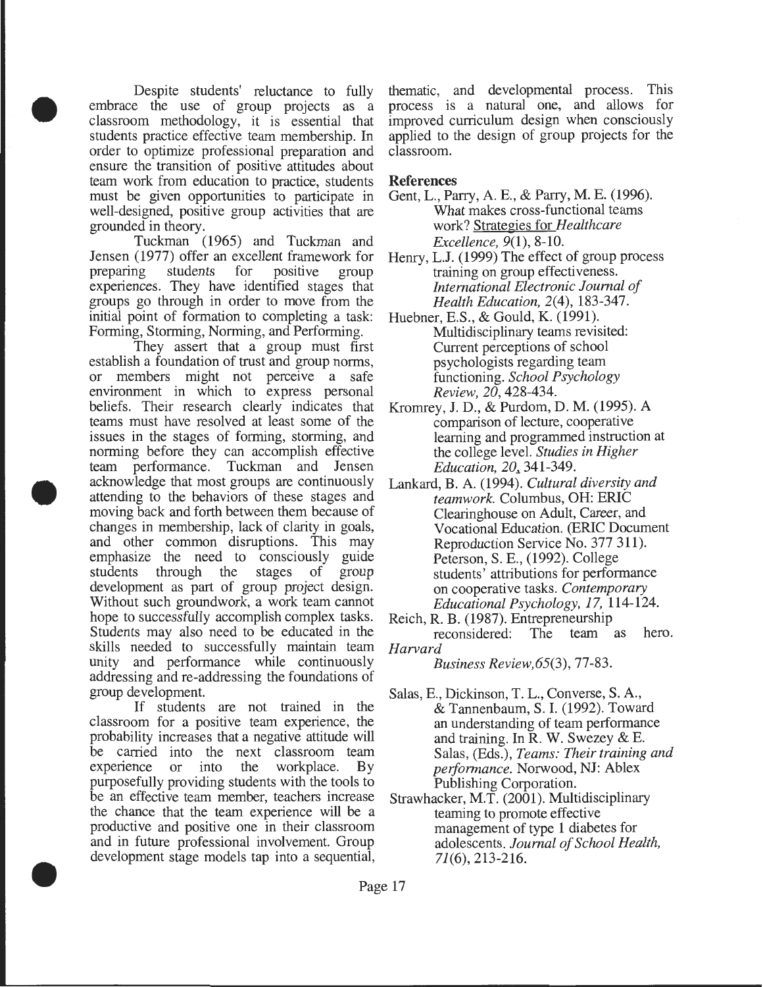Despite students' reluctance to fully embrace the use of group projects as a classroom methodology, it is essential that students practice effective team membership. In order to optimize professional preparation and ensure the transition of positive attitudes about team work from education to practice, students must be given opportunities to participate in well-designed, positive group activities that are grounded in theory.

•

•

•

Tuckman (1965) and Tuckman and Jensen (1977) offer an excellent framework for preparing students for positive group experiences. They have identified stages that groups go through in order to move from the initial point of formation to completing a task: Forming, Storming, Norming, and Performing.

They assert that a group must first establish a foundation of trust and group norms, or members might not perceive a safe environment in which to express personal beliefs. Their research clearly indicates that teams must have resolved at least some of the issues in the stages of forming, storming, and norming before they can accomplish effective team performance. Tuckman and Jensen acknowledge that most groups are continuously attending to the behaviors of these stages and moving back and forth between them because of changes in membership, lack of clarity in goals, and other common disruptions. This may emphasize the need to consciously guide students through the stages of group development as part of group project design. Without such groundwork, a work team cannot hope to successfully accomplish complex tasks. Students may also need to be educated in the skills needed to successfully maintain team unity and performance while continuously addressing and re-addressing the foundations of group development.

If students are not trained in the classroom for a positive team experience, the probability increases that a negative attitude will be carried into the next classroom team experience or into the workplace. By purposefully providing students with the tools to be an effective team member, teachers increase the chance that the team experience will be a productive and positive one in their classroom and in future professional involvement. Group development stage models tap into a sequential,

thematic, and developmental process. This process is a natural one, and allows for improved curriculum design when consciously applied to the design of group projects for the classroom.

#### **References**

- Gent, L., Parry, A. E., & Parry, M. E. (1996). What makes cross-functional teams work? Strategies for *Healthcare Excellence,* 9(1), 8-10.
- Henry, L.J. (1999) The effect of group process training on group effectiveness. *International Electronic Journal of Health Education,* 2(4), 183-347.
- Huebner, E.S., & Gould, K. (1991). Multidisciplinary teams revisited: Current perceptions of school psychologists regarding team functioning. *School Psychology Review, 20,* 428-434.
- Kromrey, J.D., & Purdom, D. M. (1995). A comparison of lecture, cooperative learning and programmed instruction at the college level. *Studies in Higher Education,* 20~ 341-349.
- Lankard, B. A. (1994). *Cultural diversity and teamwork.* Columbus, OH: ERIC Clearinghouse on Adult, Career, and Vocational Education. (ERIC Document Reproduction Service No. 377 311). Peterson, S. E., (1992). College students' attributions for performance on cooperative tasks. *Contemporary Educational Psychology, 17,* 114-124.
- Reich, R. B. (1987). Entrepreneurship<br>reconsidered: The team The team as hero. *Harvard*

*Business Review,65(3),* 77-83.

- Salas, E., Dickinson, T. L., Converse, S. A., & Tannenbaum, S. I. (1992). Toward an understanding of team performance and training. In R. W. Swezey & E. Salas, (Eds.), *Teams: Their training and performance.* Norwood, NJ: Ablex Publishing Corporation.
- Strawhacker, M.T. (2001). Multidisciplinary teaming to promote effective management of type 1 diabetes for adolescents. *Journal of School Health, 71(6),* 213-216 .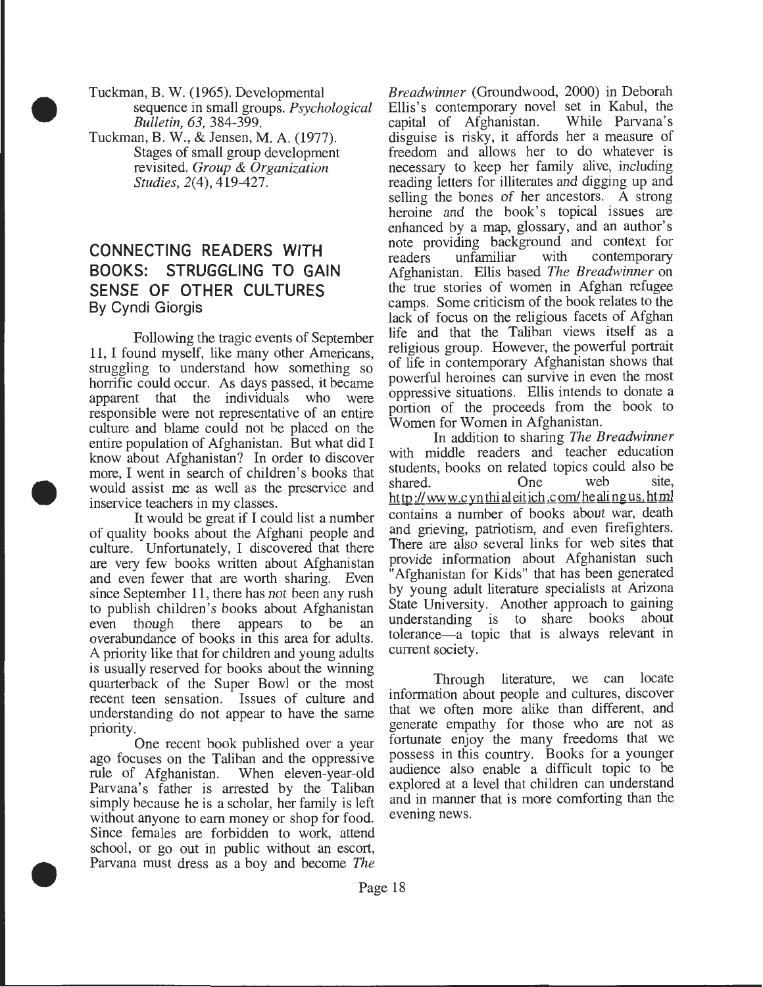Tuckman, B. W. (1965). Developmental sequence in small groups. *Psychological Bulletin, 63,* 384-399.

Tuckman, B. W., & Jensen, M. A. (1977). Stages of small group development revisited. *Group* & *Organization Studies,* 2(4), 419-427.

•

•

•

### **CONNECTING READERS WITH BOOKS: STRUGGLING TO GAIN SENSE OF OTHER CULTURES By Cyndi Giorgis**

Following the tragic events of September 11, I found myself, like many other Americans, struggling to understand how something so horrific could occur. As days passed, it became apparent that the individuals who were responsible were not representative of an entire culture and blame could not be placed on the entire population of Afghanistan. But what did I know about Afghanistan? In order to discover more, I went in search of children's books that would assist me as well as the preservice and inservice teachers in my classes.

It would be great if I could list a number of quality books about the Afghani people and culture. Unfortunately, I discovered that there are very few books written about Afghanistan and even fewer that are worth sharing. Even since September 11, there has not been any rush to publish children's books about Afghanistan<br>even though there appears to be an even though there appears to be an overabundance of books in this area for adults. A priority like that for children and young adults is usually reserved for books about the winning quarterback of the Super Bowl or the most recent teen sensation. Issues of culture and understanding do not appear to have the same priority.

One recent book published over a year ago focuses on the Taliban and the oppressive rule of Afghanistan. When eleven-year-old Parvana's father is arrested by the Taliban simply because he is a scholar, her family is left without anyone to earn money or shop for food. Since females are forbidden to work, attend school, or go out in public without an escort, Parvana must dress as a boy and become *The* 

*Breadwinner* (Groundwood, 2000) in Deborah Ellis's contemporary novel set in Kabul, the capital of Afghanistan. While Parvana's capital of Afghanistan. disguise is risky, it affords her a measure of freedom and allows her to do whatever is necessary to keep her family alive, including reading letters for illiterates and digging up and selling the bones of her ancestors. A strong heroine and the book's topical issues are enhanced by a map, glossary, and an author's note providing background and context for<br>readers unfamiliar with contemporary readers unfamiliar with contemporary Afghanistan. Ellis based *The Breadwinner* on the true stories of women in Afghan refugee camps. Some criticism of the book relates to the lack of focus on the religious facets of Afghan life and that the Taliban views itself as a religious group. However, the powerful portrait of life in contemporary Afghanistan shows that powerful heroines can survive in even the most oppressive situations. Ellis intends to donate a portion of the proceeds from the book to Women for Women in Afghanistan.

In addition to sharing *The Breadwinner*  with middle readers and teacher education students, books on related topics could also be shared. One web site, shared. ht tp://www.c yn thi al eit ich.c om/he aling us. html contains a number of books about war, death and grieving, patriotism, and even firefighters. There are also several links for web sites that provide information about Afghanistan such "Afghanistan for Kids" that has been generated by young adult literature specialists at Arizona State University. Another approach to gaining understanding is to share books about tolerance-a topic that is always relevant in current society.

Through literature, we can locate information about people and cultures, discover that we often more alike than different, and generate empathy for those who are not as fortunate enjoy the many freedoms that we possess in this country. Books for a younger audience also enable a difficult topic to be explored at a level that children can understand and in manner that is more comforting than the evening news.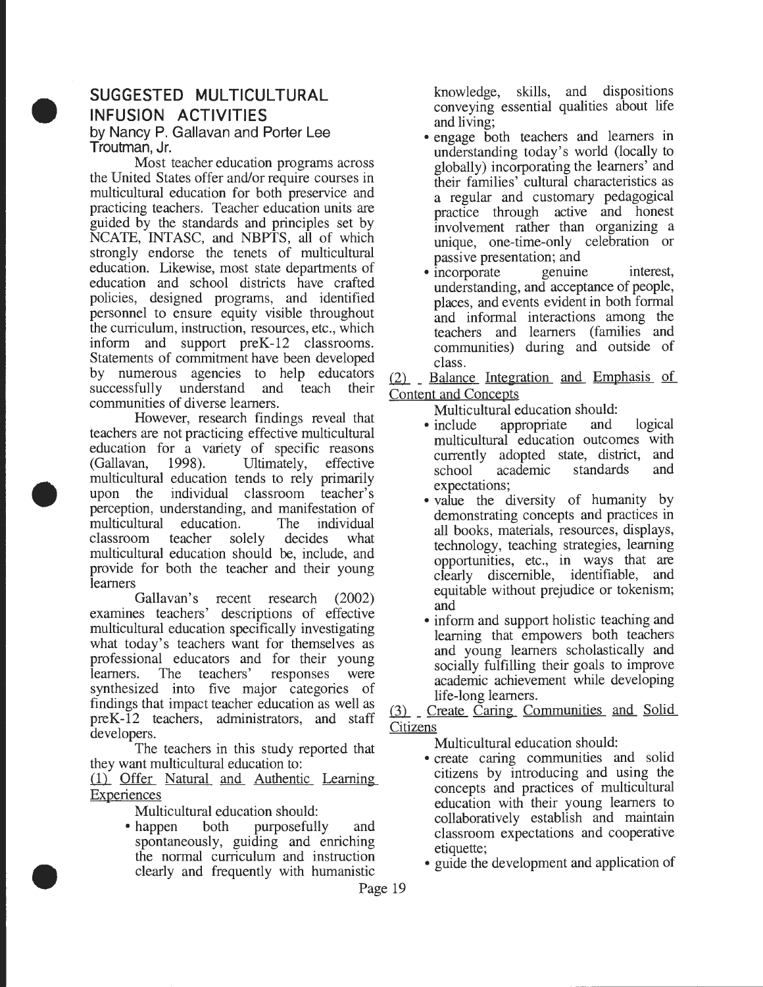# **SUGGESTED MULTICULTURAL INFUSION ACTIVITIES**

•

•

•

by Nancy **P.** Gallavan and Porter Lee Troutman, Jr.

Most teacher education programs across the United States offer and/or require courses in multicultural education for both preservice and practicing teachers. Teacher education units are guided by the standards and principles set by NCATE, INTASC, and NBPTS, all of which strongly endorse the tenets of multicultural education. Likewise, most state departments of education and school districts have crafted policies, designed programs, and identified personnel to ensure equity visible throughout the curriculum, instruction, resources, etc., which inform and support preK-12 classrooms. Statements of commitment have been developed by numerous agencies to help educators successfully understand and teach their communities of diverse learners.

However, research findings reveal that teachers are not practicing effective multicultural education for a variety of specific reasons  $(Gallavan, 1998).$  Ultimately, effective multicultural education tends to rely primarily upon the individual classroom teacher's perception, understanding, and manifestation of multicultural education. The individual classroom teacher solely decides what classroom teacher solely decides what multicultural education should be, include, and provide for both the teacher and their young learners

Gallavan's recent research (2002) examines teachers' descriptions of effective multicultural education specifically investigating what today's teachers want for themselves as professional educators and for their young learners. The teachers' responses were synthesized into five major categories of findings that impact teacher education as well as preK -12 teachers, administrators, and staff developers.

The teachers in this study reported that they want multicultural education to:

(1) Offer Natural and Authentic Learning **Experiences** 

Multicultural education should:

• happen both purposefully and spontaneously, guiding and enriching the normal curriculum and instruction clearly and frequently with humanistic

knowledge, skills, and dispositions conveying essential qualities about life

- and living;<br>• engage both teachers and learners in understanding today's world (locally to globally) incorporating the learners' and their families' cultural charactenstics as a regular and customary pedagogical practice through active and honest involvement rather than organizing a unique, one-time-only celebration or
- passive presentation; and<br>• incorporate genuine interest, understanding, and acceptance of people, places, and events evident in both formal and informal interactions among the teachers and learners (families and communities) during and outside of class.

(2) Balance Integration and Emphasis of Content and Concepts

Multicultural education should:

- include appropriate and logical multicultural education outcomes with currently adopted state, district, and school academic standards and
- expectations;<br>• value the diversity of humanity by demonstrating concepts and practices in all books, materials, resources, displays, technology, teaching strategies, learning opportunities, etc., in ways that are clearly discernible, identifiable, and equitable without prejudice or tokemsm; and
- inform and support holistic teaching and learning that empowers both teachers and young learners scholastically and socially fulfilling their goals to improve academic achievement while developing

life-long learners.<br>
(3) \_ Create Caring Communities and Solid Citizens

Multicultural education should:

- create caring communities and solid citizens by introducing and using the concepts and practices of multicultural education with their young learners to collaboratively establish and maintain classroom expectations and cooperative
- etiquette;<br>• guide the development and application of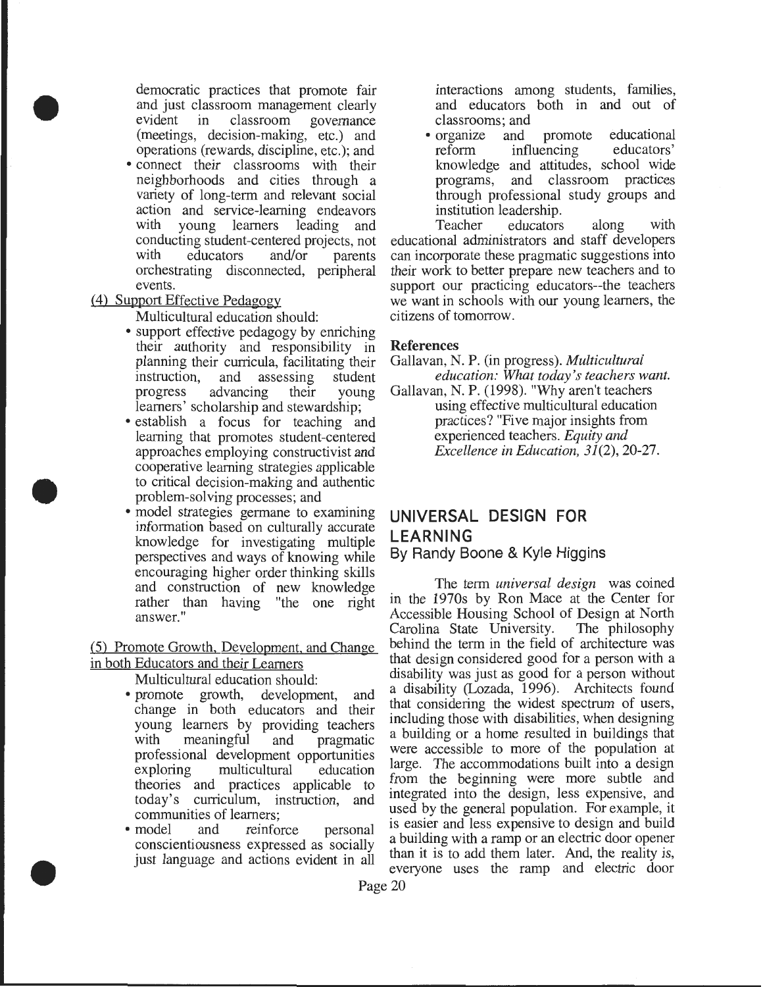democratic practices that promote fair and just classroom management clearly<br>evident in classroom governance in classroom governance (meetings, decision-making, etc.) and operations (rewards, discipline, etc.); and • connect their classrooms with their neighborhoods and cities through a

variety of long-term and relevant social action and service-learning endeavors<br>with young learners leading and young learners leading and conducting student-centered projects, not<br>with educators and/or parents educators and/or parents orchestrating disconnected, peripheral events.

#### (4) Support Effective Pedagogy

•

•

•

Multicultural education should:

- support effective pedagogy by enriching their authority and responsibility in planning their curricula, facilitating their instruction, and assessing student progress advancing their young learners' scholarship and stewardship;
- establish a focus for teaching and learning that promotes student -centered approaches employing constructivist and cooperative learning strategies applicable to critical decision-making and authentic problem-solving processes; and
- model strategies germane to examining information based on culturally accurate knowledge for investigating multiple perspectives and ways of knowing while encouraging higher order thinking skills and construction of new knowledge rather than having "the one right answer."

(5) Promote Growth, Development. and Change in both Educators and their Learners

Multicultural education should:

- promote growth, development, and change in both educators and their young learners by providing teachers with meaningful and pragmatic professional development opportunities exploring multicultural education theories and practices applicable to today's curriculum, instruction, and
- communities of learners;<br>• model and reinfo and reinforce personal conscientiousness expressed as socially just language and actions evident in all

interactions among students, families, and educators both in and out of classrooms; and

• organize and promote educational reform influencing educators' knowledge and attitudes, school wide programs, and classroom practices through professional study groups and institution leadership.<br>Teacher educators

educators along with educational administrators and staff developers can incorporate these pragmatic suggestions into their work to better prepare new teachers and to support our practicing educators--the teachers we want in schools with our young learners, the citizens of tomorrow.

#### References

- Gallavan, N. P. (in progress). *Multicultural education: What today' s teachers want.*
- Gallavan, N. P. (1998). "Why aren't teachers using effective multicultural education practices? "Five major insights from experienced teachers. *Equity and Excellence in Education, 31(2),* 20-27.

# **UNIVERSAL DESIGN FOR LEARNING**

#### By Randy Boone & Kyle Higgins

The term *universal design* was coined in the 1970s by Ron Mace at the Center for Accessible Housing School of Design at North Carolina State University. The philosophy behind the term in the field of architecture was that design considered good for a person with a disability was just as good for a person without a disability (Lozada, 1996). Architects found that considering the widest spectrum of users, including those with disabilities, when designing a building or a home resulted in buildings that were accessible to more of the population at large. The accommodations built into a design from the beginning were more subtle and integrated into the design, less expensive, and used by the general population. For example, it is easier and less expensive to design and build a building with a ramp or an electric door opener than it is to add them later. And, the reality is, everyone uses the ramp and electric door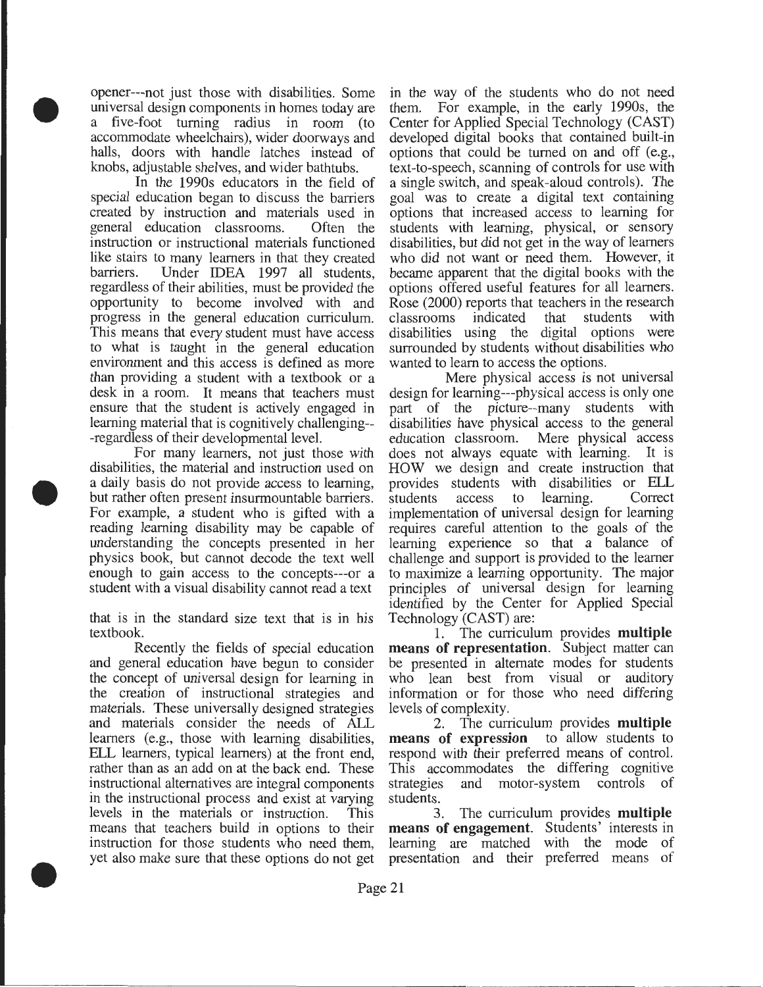opener---not just those with disabilities. Some universal design components in homes today are a five-foot turning radius in room (to accommodate wheelchairs), wider doorways and halls, doors with handle latches instead of knobs, adjustable shelves, and wider bathtubs.

•

•

•

In the 1990s educators in the field of special education began to discuss the barriers created by instruction and materials used in general education classrooms. Often the instruction or instructional materials functioned like stairs to many learners in that they created barriers. Under IDEA 1997 all students, regardless of their abilities, must be provided the opportunity to become involved with and progress in the general education curriculum. This means that every student must have access to what is taught in the general education environment and this access is defined as more than providing a student with a textbook or a desk in a room. It means that teachers must ensure that the student is actively engaged in learning material that is cognitively challenging-- -regardless of their developmental level.

For many learners, not just those with disabilities, the material and instruction used on a daily basis do not provide access to learning, but rather often present insurmountable barriers. For example, a student who is gifted with a reading learning disability may be capable of understanding the concepts presented in her physics book, but cannot decode the text well enough to gain access to the concepts---or a student with a visual disability cannot read a text

that is in the standard size text that is in his textbook.

Recently the fields of special education and general education have begun to consider the concept of universal design for learning in the creation of instructional strategies and materials. These universally designed strategies and materials consider the needs of ALL learners (e.g., those with learning disabilities, ELL learners, typical learners) at the front end, rather than as an add on at the back end. These instructional alternatives are integral components in the instructional process and exist at varying levels in the materials or instruction. This means that teachers build in options to their instruction for those students who need them, yet also make sure that these options do not get

in the way of the students who do not need them. For example, in the early 1990s, the Center for Applied Special Technology (CAST) developed digital books that contained built-in options that could be turned on and off (e.g., text-to-speech, scanning of controls for use with a single switch, and speak-aloud controls). The goal was to create a digital text containing options that increased access to learning for students with learning, physical, or sensory disabilities, but did not get in the way of learners who did not want or need them. However, it became apparent that the digital books with the options offered useful features for all learners. Rose (2000) reports that teachers in the research classrooms indicated that students with disabilities using the digital options were surrounded by students without disabilities who wanted to learn to access the options.

Mere physical access is not universal design for learning---physical access is only one part of the picture--many students with disabilities have physical access to the general education classroom. Mere physical access does not always equate with learning. It is HOW we design and create instruction that provides students with disabilities or ELL students access to learning. Correct implementation of universal design for learning requires careful attention to the goals of the learning experience so that a balance of challenge and support is provided to the learner to maximize a learning opportunity. The major principles of universal design for learning identified by the Center for Applied Special Technology (CAST) are:

1. The curriculum provides **multiple means of representation.** Subject matter can be presented in alternate modes for students who lean best from visual or auditory information or for those who need differing levels of complexity.

2. The curriculum provides **multiple means of expression** to allow students to respond with their preferred means of control. This accommodates the differing cognitive strategies and motor-system controls of students.

3. The curriculum provides **multiple means of engagement.** Students' interests in learning are matched with the mode of presentation and their preferred means of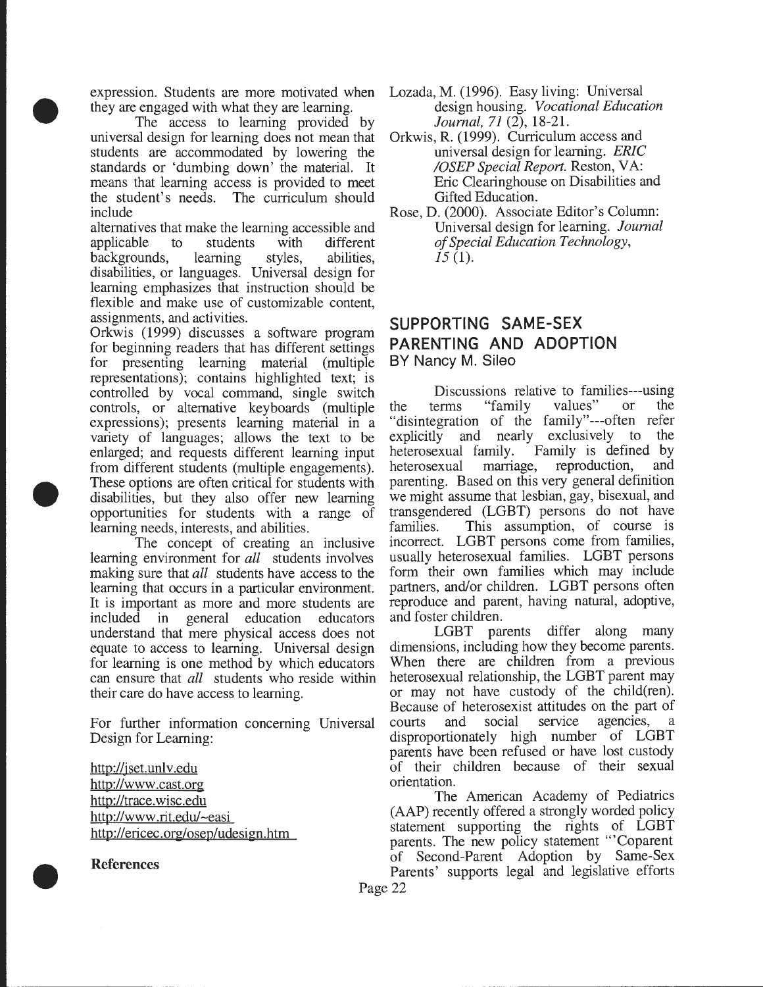expression. Students are more motivated when they are engaged with what they are learning.

•

•

The access to learning provided by universal design for learning does not mean that students are accommodated by lowering the standards or 'dumbing down' the material. It means that learning access is provided to meet the student's needs. The curriculum should include

alternatives that make the learning accessible and applicable to students with different backgrounds, learning styles, abilities, disabilities, or languages. Universal design for learning emphasizes that instruction should be flexible and make use of customizable content, assignments, and activities.

Orkwis (1999) discusses a software program for beginning readers that has different settings for presenting learning material (multiple representations); contains highlighted text; is controlled by vocal command, single switch controls, or alternative keyboards (multiple expressions); presents learning material in a variety of languages; allows the text to be enlarged; and requests different learning input from different students (multiple engagements). These options are often critical for students with disabilities, but they also offer new learning opportunities for students with a range of learning needs, interests, and abilities.

The concept of creating an inclusive learning environment for *all* students involves making sure that *all* students have access to the learning that occurs in a particular environment. It is important as more and more students are included in general education educators understand that mere physical access does not equate to access to learning. Universal design for learning is one method by which educators can ensure that *all* students who reside within their care do have access to learning.

For further information concerning Universal Design for Learning:

http://jset.unlv.edu http://www .cast.org http://trace.wisc.edu http://www .rit.edu/-easi http://ericec.org/osep/udesign.htm

References

•

- Lozada, M. (1996). Easy living: Universal design housing. *Vocational Education Journal, 71* (2), 18-21.
- Orkwis, R. (1999). Curriculum access and universal design for learning. *ERIC /OSEP Special Report.* Reston, VA: Eric Clearinghouse on Disabilities and Gifted Education.
- Rose, D. (2000). Associate Editor's Column: Universal design for learning. *Journal of Special Education Technology, 15* (1).

#### **SUPPORTING SAME-SEX PARENTING AND ADOPTION**  BY Nancy M. Sileo

Discussions relative to families---using the terms "family values" or the "disintegration of the family"---often refer explicitly and nearly exclusively to the heterosexual family. Family is defined by heterosexual marriage, reproduction, and parenting. Based on this very general definition we might assume that lesbian, gay, bisexual, and transgendered (LGBT) persons do not have families. This assumption, of course is incorrect. LGBT persons come from families, usually heterosexual families. LGBT persons form their own families which may include partners, and/or children. LGBT persons often reproduce and parent, having natural, adoptive, and foster children.

LGBT parents differ along many dimensions, including how they become parents. When there are children from a previous heterosexual relationship, the LGBT parent may or may not have custody of the child(ren). Because of heterosexist attitudes on the part of courts and social service agencies, a disproportionately high number of LGBT parents have been refused or have lost custody of their children because of their sexual orientation.

The American Academy of Pediatrics (AAP) recently offered a strongly worded policy statement supporting the rights of LGBT parents. The new policy statement '"Coparent of Second-Parent Adoption by Same-Sex Parents' supports legal and legislative efforts